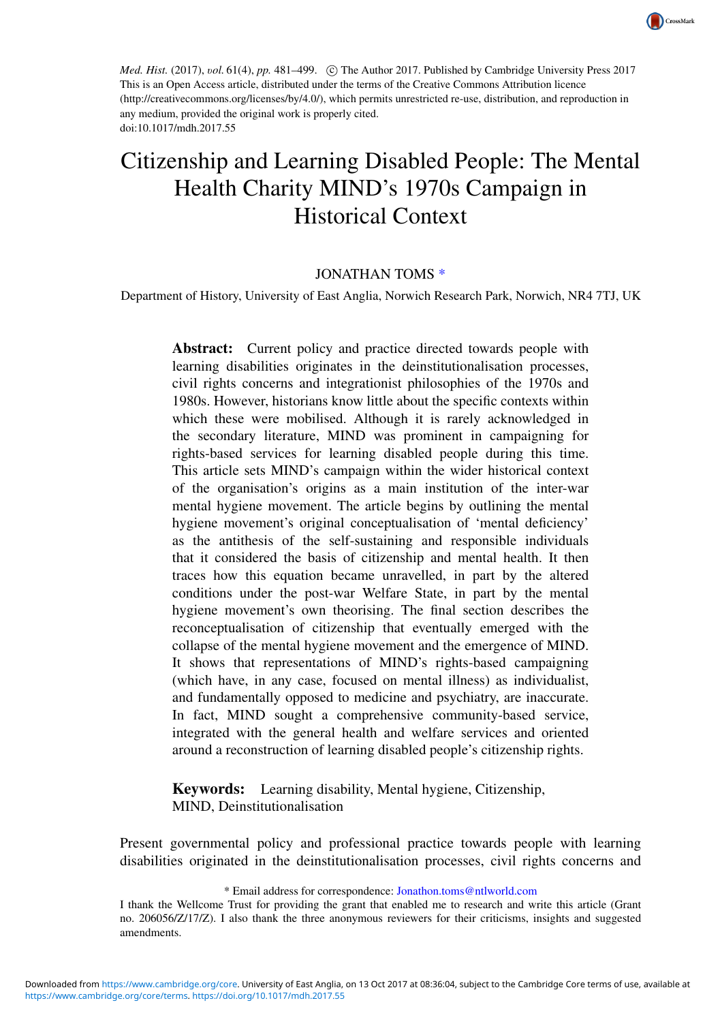

*Med. Hist.* (2017), v*ol.* 61(4), *pp.* 481–499. c The Author 2017. Published by Cambridge University Press 2017 This is an Open Access article, distributed under the terms of the Creative Commons Attribution licence (http://creativecommons.org/licenses/by/4.0/), which permits unrestricted re-use, distribution, and reproduction in any medium, provided the original work is properly cited. doi:10.1017/mdh.2017.55

# Citizenship and Learning Disabled People: The Mental Health Charity MIND's 1970s Campaign in Historical Context

### JONATHAN TOMS [\\*](#page-0-0)

Department of History, University of East Anglia, Norwich Research Park, Norwich, NR4 7TJ, UK

Abstract: Current policy and practice directed towards people with learning disabilities originates in the deinstitutionalisation processes, civil rights concerns and integrationist philosophies of the 1970s and 1980s. However, historians know little about the specific contexts within which these were mobilised. Although it is rarely acknowledged in the secondary literature, MIND was prominent in campaigning for rights-based services for learning disabled people during this time. This article sets MIND's campaign within the wider historical context of the organisation's origins as a main institution of the inter-war mental hygiene movement. The article begins by outlining the mental hygiene movement's original conceptualisation of 'mental deficiency' as the antithesis of the self-sustaining and responsible individuals that it considered the basis of citizenship and mental health. It then traces how this equation became unravelled, in part by the altered conditions under the post-war Welfare State, in part by the mental hygiene movement's own theorising. The final section describes the reconceptualisation of citizenship that eventually emerged with the collapse of the mental hygiene movement and the emergence of MIND. It shows that representations of MIND's rights-based campaigning (which have, in any case, focused on mental illness) as individualist, and fundamentally opposed to medicine and psychiatry, are inaccurate. In fact, MIND sought a comprehensive community-based service, integrated with the general health and welfare services and oriented around a reconstruction of learning disabled people's citizenship rights.

Keywords: Learning disability, Mental hygiene, Citizenship, MIND, Deinstitutionalisation

Present governmental policy and professional practice towards people with learning disabilities originated in the deinstitutionalisation processes, civil rights concerns and

<span id="page-0-0"></span><sup>\*</sup> Email address for correspondence: [Jonathon.toms@ntlworld.com](mailto:Jonathon.toms@ntlworld.com)

I thank the Wellcome Trust for providing the grant that enabled me to research and write this article (Grant no. 206056/Z/17/Z). I also thank the three anonymous reviewers for their criticisms, insights and suggested amendments.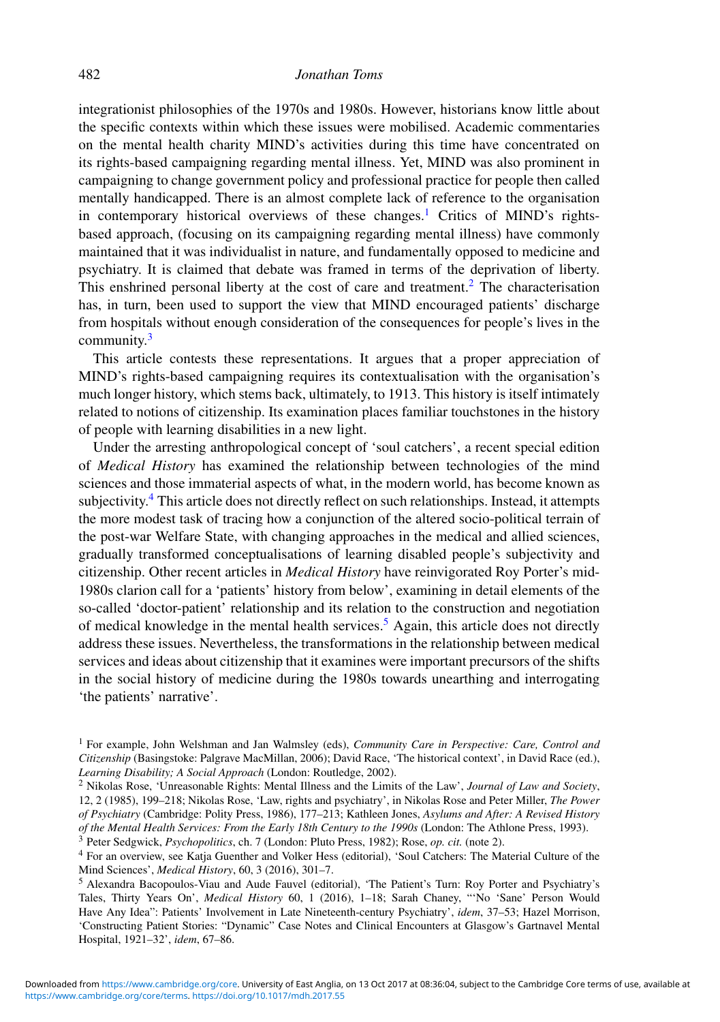integrationist philosophies of the 1970s and 1980s. However, historians know little about the specific contexts within which these issues were mobilised. Academic commentaries on the mental health charity MIND's activities during this time have concentrated on its rights-based campaigning regarding mental illness. Yet, MIND was also prominent in campaigning to change government policy and professional practice for people then called mentally handicapped. There is an almost complete lack of reference to the organisation in contemporary historical overviews of these changes.<sup>[1](#page-1-0)</sup> Critics of MIND's rightsbased approach, (focusing on its campaigning regarding mental illness) have commonly maintained that it was individualist in nature, and fundamentally opposed to medicine and psychiatry. It is claimed that debate was framed in terms of the deprivation of liberty. This enshrined personal liberty at the cost of care and treatment.<sup>[2](#page-1-1)</sup> The characterisation has, in turn, been used to support the view that MIND encouraged patients' discharge from hospitals without enough consideration of the consequences for people's lives in the community.[3](#page-1-2)

This article contests these representations. It argues that a proper appreciation of MIND's rights-based campaigning requires its contextualisation with the organisation's much longer history, which stems back, ultimately, to 1913. This history is itself intimately related to notions of citizenship. Its examination places familiar touchstones in the history of people with learning disabilities in a new light.

Under the arresting anthropological concept of 'soul catchers', a recent special edition of *Medical History* has examined the relationship between technologies of the mind sciences and those immaterial aspects of what, in the modern world, has become known as subjectivity. $4$  This article does not directly reflect on such relationships. Instead, it attempts the more modest task of tracing how a conjunction of the altered socio-political terrain of the post-war Welfare State, with changing approaches in the medical and allied sciences, gradually transformed conceptualisations of learning disabled people's subjectivity and citizenship. Other recent articles in *Medical History* have reinvigorated Roy Porter's mid-1980s clarion call for a 'patients' history from below', examining in detail elements of the so-called 'doctor-patient' relationship and its relation to the construction and negotiation of medical knowledge in the mental health services.<sup>[5](#page-1-4)</sup> Again, this article does not directly address these issues. Nevertheless, the transformations in the relationship between medical services and ideas about citizenship that it examines were important precursors of the shifts in the social history of medicine during the 1980s towards unearthing and interrogating 'the patients' narrative'.

<span id="page-1-0"></span><sup>1</sup> For example, John Welshman and Jan Walmsley (eds), *Community Care in Perspective: Care, Control and Citizenship* (Basingstoke: Palgrave MacMillan, 2006); David Race, 'The historical context', in David Race (ed.), *Learning Disability; A Social Approach* (London: Routledge, 2002).

<span id="page-1-1"></span><sup>2</sup> Nikolas Rose, 'Unreasonable Rights: Mental Illness and the Limits of the Law', *Journal of Law and Society*, 12, 2 (1985), 199–218; Nikolas Rose, 'Law, rights and psychiatry', in Nikolas Rose and Peter Miller, *The Power of Psychiatry* (Cambridge: Polity Press, 1986), 177–213; Kathleen Jones, *Asylums and After: A Revised History of the Mental Health Services: From the Early 18th Century to the 1990s* (London: The Athlone Press, 1993). <sup>3</sup> Peter Sedgwick, *Psychopolitics*, ch. 7 (London: Pluto Press, 1982); Rose, *op. cit.* (note 2).

<span id="page-1-3"></span><span id="page-1-2"></span><sup>4</sup> For an overview, see Katja Guenther and Volker Hess (editorial), 'Soul Catchers: The Material Culture of the Mind Sciences', *Medical History*, 60, 3 (2016), 301–7.

<span id="page-1-4"></span><sup>5</sup> Alexandra Bacopoulos-Viau and Aude Fauvel (editorial), 'The Patient's Turn: Roy Porter and Psychiatry's Tales, Thirty Years On', *Medical History* 60, 1 (2016), 1–18; Sarah Chaney, "'No 'Sane' Person Would Have Any Idea": Patients' Involvement in Late Nineteenth-century Psychiatry', *idem*, 37–53; Hazel Morrison, 'Constructing Patient Stories: "Dynamic" Case Notes and Clinical Encounters at Glasgow's Gartnavel Mental Hospital, 1921–32', *idem*, 67–86.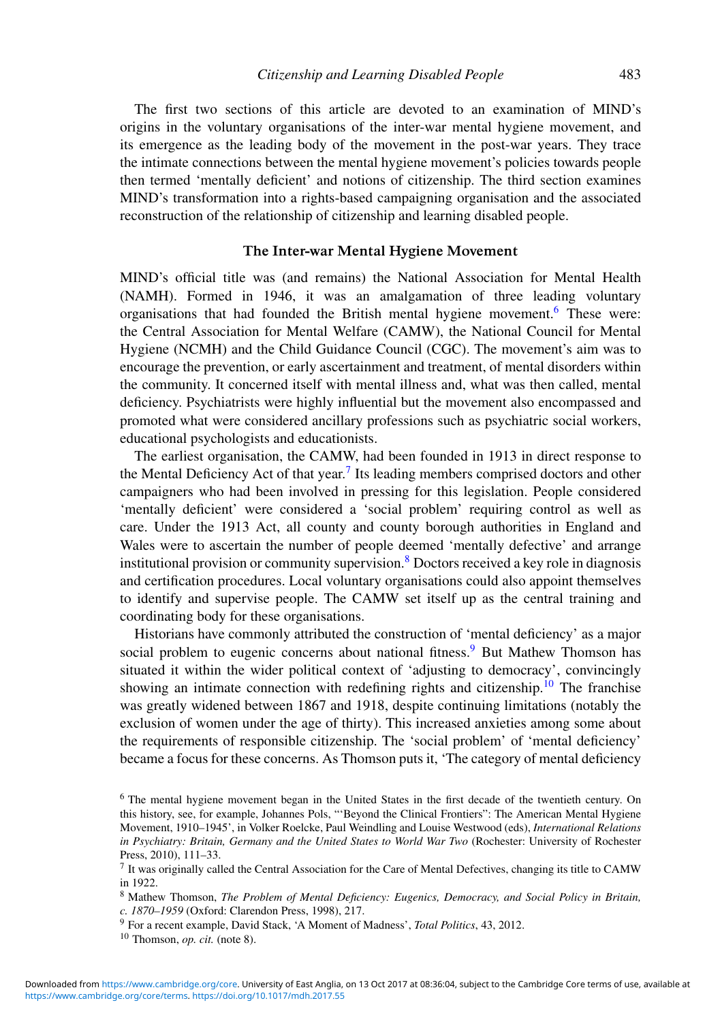The first two sections of this article are devoted to an examination of MIND's origins in the voluntary organisations of the inter-war mental hygiene movement, and its emergence as the leading body of the movement in the post-war years. They trace the intimate connections between the mental hygiene movement's policies towards people then termed 'mentally deficient' and notions of citizenship. The third section examines MIND's transformation into a rights-based campaigning organisation and the associated reconstruction of the relationship of citizenship and learning disabled people.

#### The Inter-war Mental Hygiene Movement

MIND's official title was (and remains) the National Association for Mental Health (NAMH). Formed in 1946, it was an amalgamation of three leading voluntary organisations that had founded the British mental hygiene movement.<sup>[6](#page-2-0)</sup> These were: the Central Association for Mental Welfare (CAMW), the National Council for Mental Hygiene (NCMH) and the Child Guidance Council (CGC). The movement's aim was to encourage the prevention, or early ascertainment and treatment, of mental disorders within the community. It concerned itself with mental illness and, what was then called, mental deficiency. Psychiatrists were highly influential but the movement also encompassed and promoted what were considered ancillary professions such as psychiatric social workers, educational psychologists and educationists.

The earliest organisation, the CAMW, had been founded in 1913 in direct response to the Mental Deficiency Act of that year.<sup>[7](#page-2-1)</sup> Its leading members comprised doctors and other campaigners who had been involved in pressing for this legislation. People considered 'mentally deficient' were considered a 'social problem' requiring control as well as care. Under the 1913 Act, all county and county borough authorities in England and Wales were to ascertain the number of people deemed 'mentally defective' and arrange institutional provision or community supervision.<sup>[8](#page-2-2)</sup> Doctors received a key role in diagnosis and certification procedures. Local voluntary organisations could also appoint themselves to identify and supervise people. The CAMW set itself up as the central training and coordinating body for these organisations.

Historians have commonly attributed the construction of 'mental deficiency' as a major social problem to eugenic concerns about national fitness.<sup>[9](#page-2-3)</sup> But Mathew Thomson has situated it within the wider political context of 'adjusting to democracy', convincingly showing an intimate connection with redefining rights and citizenship.<sup>[10](#page-2-4)</sup> The franchise was greatly widened between 1867 and 1918, despite continuing limitations (notably the exclusion of women under the age of thirty). This increased anxieties among some about the requirements of responsible citizenship. The 'social problem' of 'mental deficiency' became a focus for these concerns. As Thomson puts it, 'The category of mental deficiency

<span id="page-2-0"></span><sup>6</sup> The mental hygiene movement began in the United States in the first decade of the twentieth century. On this history, see, for example, Johannes Pols, "'Beyond the Clinical Frontiers": The American Mental Hygiene Movement, 1910–1945', in Volker Roelcke, Paul Weindling and Louise Westwood (eds), *International Relations in Psychiatry: Britain, Germany and the United States to World War Two* (Rochester: University of Rochester Press, 2010), 111–33.

<span id="page-2-1"></span><sup>&</sup>lt;sup>7</sup> It was originally called the Central Association for the Care of Mental Defectives, changing its title to CAMW in 1922.

<span id="page-2-2"></span><sup>8</sup> Mathew Thomson, *The Problem of Mental Deficiency: Eugenics, Democracy, and Social Policy in Britain, c. 1870–1959* (Oxford: Clarendon Press, 1998), 217.

<span id="page-2-3"></span><sup>9</sup> For a recent example, David Stack, 'A Moment of Madness', *Total Politics*, 43, 2012.

<span id="page-2-4"></span><sup>10</sup> Thomson, *op. cit.* (note 8).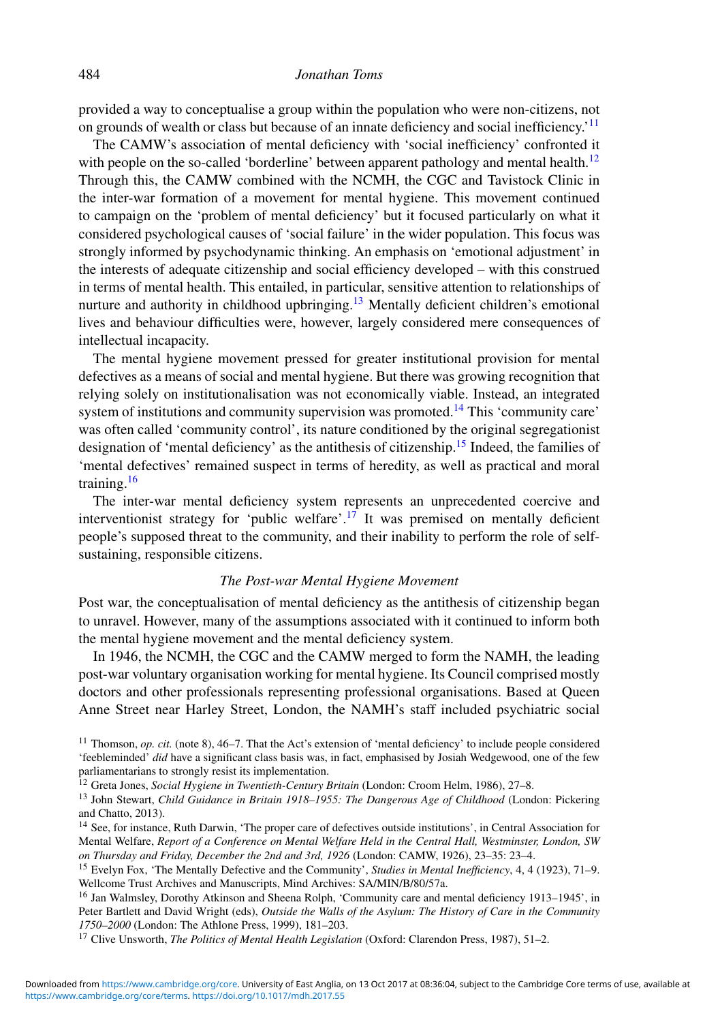provided a way to conceptualise a group within the population who were non-citizens, not on grounds of wealth or class but because of an innate deficiency and social inefficiency.<sup>[11](#page-3-0)</sup>

The CAMW's association of mental deficiency with 'social inefficiency' confronted it with people on the so-called 'borderline' between apparent pathology and mental health.<sup>[12](#page-3-1)</sup> Through this, the CAMW combined with the NCMH, the CGC and Tavistock Clinic in the inter-war formation of a movement for mental hygiene. This movement continued to campaign on the 'problem of mental deficiency' but it focused particularly on what it considered psychological causes of 'social failure' in the wider population. This focus was strongly informed by psychodynamic thinking. An emphasis on 'emotional adjustment' in the interests of adequate citizenship and social efficiency developed – with this construed in terms of mental health. This entailed, in particular, sensitive attention to relationships of nurture and authority in childhood upbringing.<sup>[13](#page-3-2)</sup> Mentally deficient children's emotional lives and behaviour difficulties were, however, largely considered mere consequences of intellectual incapacity.

The mental hygiene movement pressed for greater institutional provision for mental defectives as a means of social and mental hygiene. But there was growing recognition that relying solely on institutionalisation was not economically viable. Instead, an integrated system of institutions and community supervision was promoted.<sup>[14](#page-3-3)</sup> This 'community care' was often called 'community control', its nature conditioned by the original segregationist designation of 'mental deficiency' as the antithesis of citizenship.<sup>[15](#page-3-4)</sup> Indeed, the families of 'mental defectives' remained suspect in terms of heredity, as well as practical and moral training.[16](#page-3-5)

The inter-war mental deficiency system represents an unprecedented coercive and interventionist strategy for 'public welfare'.<sup>[17](#page-3-6)</sup> It was premised on mentally deficient people's supposed threat to the community, and their inability to perform the role of selfsustaining, responsible citizens.

#### *The Post-war Mental Hygiene Movement*

Post war, the conceptualisation of mental deficiency as the antithesis of citizenship began to unravel. However, many of the assumptions associated with it continued to inform both the mental hygiene movement and the mental deficiency system.

In 1946, the NCMH, the CGC and the CAMW merged to form the NAMH, the leading post-war voluntary organisation working for mental hygiene. Its Council comprised mostly doctors and other professionals representing professional organisations. Based at Queen Anne Street near Harley Street, London, the NAMH's staff included psychiatric social

<span id="page-3-0"></span><sup>&</sup>lt;sup>11</sup> Thomson, *op. cit.* (note 8),  $46-7$ . That the Act's extension of 'mental deficiency' to include people considered 'feebleminded' *did* have a significant class basis was, in fact, emphasised by Josiah Wedgewood, one of the few parliamentarians to strongly resist its implementation.

<span id="page-3-1"></span><sup>12</sup> Greta Jones, *Social Hygiene in Twentieth-Century Britain* (London: Croom Helm, 1986), 27–8.

<span id="page-3-2"></span><sup>13</sup> John Stewart, *Child Guidance in Britain 1918–1955: The Dangerous Age of Childhood* (London: Pickering and Chatto, 2013).

<span id="page-3-3"></span><sup>&</sup>lt;sup>14</sup> See, for instance, Ruth Darwin, 'The proper care of defectives outside institutions', in Central Association for Mental Welfare, *Report of a Conference on Mental Welfare Held in the Central Hall, Westminster, London, SW on Thursday and Friday, December the 2nd and 3rd, 1926* (London: CAMW, 1926), 23–35: 23–4.

<span id="page-3-4"></span><sup>15</sup> Evelyn Fox, 'The Mentally Defective and the Community', *Studies in Mental Inefficiency*, 4, 4 (1923), 71–9. Wellcome Trust Archives and Manuscripts, Mind Archives: SA/MIN/B/80/57a.

<span id="page-3-5"></span><sup>&</sup>lt;sup>16</sup> Jan Walmsley, Dorothy Atkinson and Sheena Rolph, 'Community care and mental deficiency 1913–1945', in Peter Bartlett and David Wright (eds), *Outside the Walls of the Asylum: The History of Care in the Community 1750–2000* (London: The Athlone Press, 1999), 181–203.

<span id="page-3-6"></span><sup>17</sup> Clive Unsworth, *The Politics of Mental Health Legislation* (Oxford: Clarendon Press, 1987), 51–2.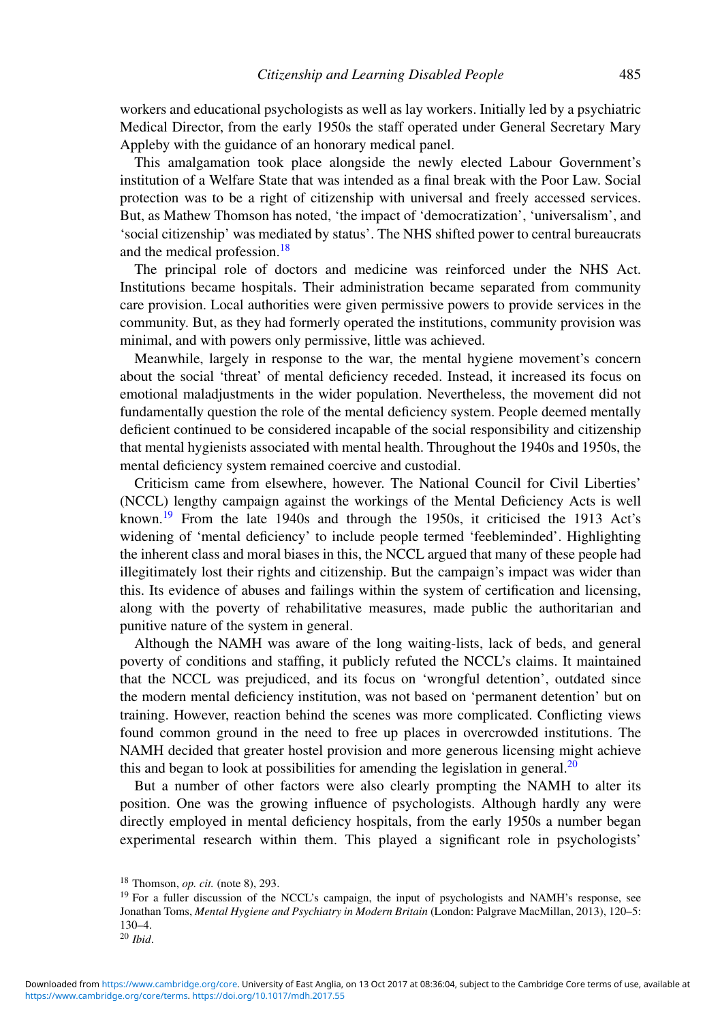workers and educational psychologists as well as lay workers. Initially led by a psychiatric Medical Director, from the early 1950s the staff operated under General Secretary Mary Appleby with the guidance of an honorary medical panel.

This amalgamation took place alongside the newly elected Labour Government's institution of a Welfare State that was intended as a final break with the Poor Law. Social protection was to be a right of citizenship with universal and freely accessed services. But, as Mathew Thomson has noted, 'the impact of 'democratization', 'universalism', and 'social citizenship' was mediated by status'. The NHS shifted power to central bureaucrats and the medical profession.<sup>[18](#page-4-0)</sup>

The principal role of doctors and medicine was reinforced under the NHS Act. Institutions became hospitals. Their administration became separated from community care provision. Local authorities were given permissive powers to provide services in the community. But, as they had formerly operated the institutions, community provision was minimal, and with powers only permissive, little was achieved.

Meanwhile, largely in response to the war, the mental hygiene movement's concern about the social 'threat' of mental deficiency receded. Instead, it increased its focus on emotional maladjustments in the wider population. Nevertheless, the movement did not fundamentally question the role of the mental deficiency system. People deemed mentally deficient continued to be considered incapable of the social responsibility and citizenship that mental hygienists associated with mental health. Throughout the 1940s and 1950s, the mental deficiency system remained coercive and custodial.

Criticism came from elsewhere, however. The National Council for Civil Liberties' (NCCL) lengthy campaign against the workings of the Mental Deficiency Acts is well known.<sup>[19](#page-4-1)</sup> From the late 1940s and through the 1950s, it criticised the 1913 Act's widening of 'mental deficiency' to include people termed 'feebleminded'. Highlighting the inherent class and moral biases in this, the NCCL argued that many of these people had illegitimately lost their rights and citizenship. But the campaign's impact was wider than this. Its evidence of abuses and failings within the system of certification and licensing, along with the poverty of rehabilitative measures, made public the authoritarian and punitive nature of the system in general.

Although the NAMH was aware of the long waiting-lists, lack of beds, and general poverty of conditions and staffing, it publicly refuted the NCCL's claims. It maintained that the NCCL was prejudiced, and its focus on 'wrongful detention', outdated since the modern mental deficiency institution, was not based on 'permanent detention' but on training. However, reaction behind the scenes was more complicated. Conflicting views found common ground in the need to free up places in overcrowded institutions. The NAMH decided that greater hostel provision and more generous licensing might achieve this and began to look at possibilities for amending the legislation in general.<sup>[20](#page-4-2)</sup>

But a number of other factors were also clearly prompting the NAMH to alter its position. One was the growing influence of psychologists. Although hardly any were directly employed in mental deficiency hospitals, from the early 1950s a number began experimental research within them. This played a significant role in psychologists'

<span id="page-4-0"></span><sup>18</sup> Thomson, *op. cit.* (note 8), 293.

<span id="page-4-1"></span> $19$  For a fuller discussion of the NCCL's campaign, the input of psychologists and NAMH's response, see Jonathan Toms, *Mental Hygiene and Psychiatry in Modern Britain* (London: Palgrave MacMillan, 2013), 120–5: 130–4.

<span id="page-4-2"></span><sup>20</sup> *Ibid*.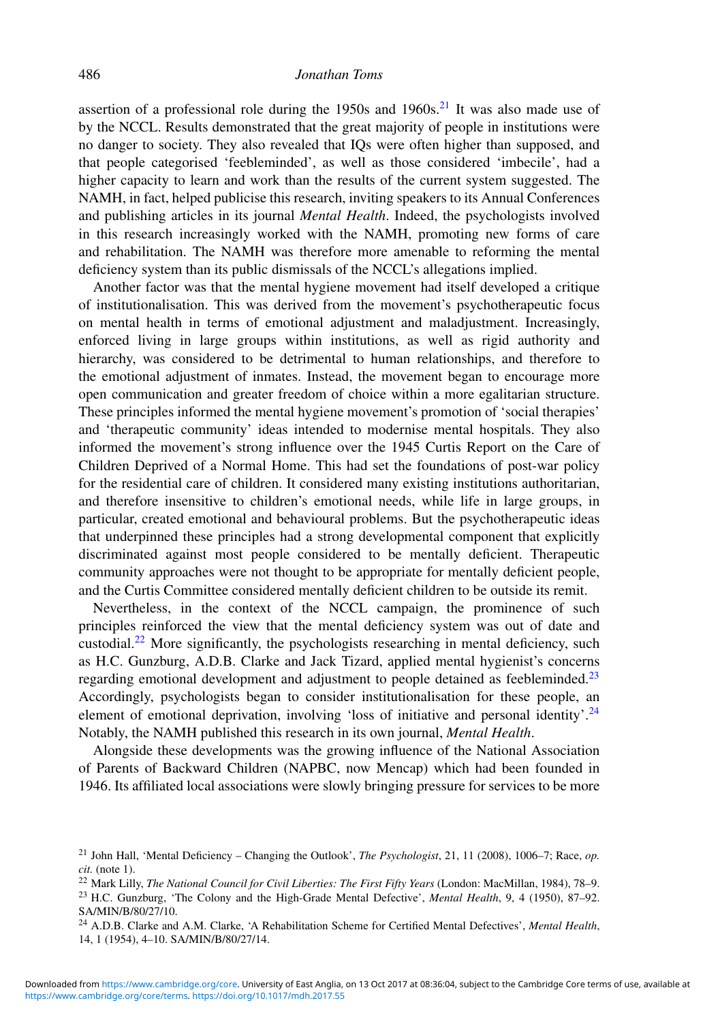#### 486 *Jonathan Toms*

assertion of a professional role during the  $1950s$  and  $1960s$ <sup>[21](#page-5-0)</sup> It was also made use of by the NCCL. Results demonstrated that the great majority of people in institutions were no danger to society. They also revealed that IQs were often higher than supposed, and that people categorised 'feebleminded', as well as those considered 'imbecile', had a higher capacity to learn and work than the results of the current system suggested. The NAMH, in fact, helped publicise this research, inviting speakers to its Annual Conferences and publishing articles in its journal *Mental Health*. Indeed, the psychologists involved in this research increasingly worked with the NAMH, promoting new forms of care and rehabilitation. The NAMH was therefore more amenable to reforming the mental deficiency system than its public dismissals of the NCCL's allegations implied.

Another factor was that the mental hygiene movement had itself developed a critique of institutionalisation. This was derived from the movement's psychotherapeutic focus on mental health in terms of emotional adjustment and maladjustment. Increasingly, enforced living in large groups within institutions, as well as rigid authority and hierarchy, was considered to be detrimental to human relationships, and therefore to the emotional adjustment of inmates. Instead, the movement began to encourage more open communication and greater freedom of choice within a more egalitarian structure. These principles informed the mental hygiene movement's promotion of 'social therapies' and 'therapeutic community' ideas intended to modernise mental hospitals. They also informed the movement's strong influence over the 1945 Curtis Report on the Care of Children Deprived of a Normal Home. This had set the foundations of post-war policy for the residential care of children. It considered many existing institutions authoritarian, and therefore insensitive to children's emotional needs, while life in large groups, in particular, created emotional and behavioural problems. But the psychotherapeutic ideas that underpinned these principles had a strong developmental component that explicitly discriminated against most people considered to be mentally deficient. Therapeutic community approaches were not thought to be appropriate for mentally deficient people, and the Curtis Committee considered mentally deficient children to be outside its remit.

Nevertheless, in the context of the NCCL campaign, the prominence of such principles reinforced the view that the mental deficiency system was out of date and custodial.<sup>[22](#page-5-1)</sup> More significantly, the psychologists researching in mental deficiency, such as H.C. Gunzburg, A.D.B. Clarke and Jack Tizard, applied mental hygienist's concerns regarding emotional development and adjustment to people detained as feebleminded.<sup>[23](#page-5-2)</sup> Accordingly, psychologists began to consider institutionalisation for these people, an element of emotional deprivation, involving 'loss of initiative and personal identity'.<sup>[24](#page-5-3)</sup> Notably, the NAMH published this research in its own journal, *Mental Health*.

Alongside these developments was the growing influence of the National Association of Parents of Backward Children (NAPBC, now Mencap) which had been founded in 1946. Its affiliated local associations were slowly bringing pressure for services to be more

<span id="page-5-0"></span><sup>21</sup> John Hall, 'Mental Deficiency – Changing the Outlook', *The Psychologist*, 21, 11 (2008), 1006–7; Race, *op. cit.* (note 1).

<span id="page-5-2"></span><span id="page-5-1"></span><sup>22</sup> Mark Lilly, *The National Council for Civil Liberties: The First Fifty Years* (London: MacMillan, 1984), 78–9. <sup>23</sup> H.C. Gunzburg, 'The Colony and the High-Grade Mental Defective', *Mental Health*, 9, 4 (1950), 87–92. SA/MIN/B/80/27/10.

<span id="page-5-3"></span><sup>24</sup> A.D.B. Clarke and A.M. Clarke, 'A Rehabilitation Scheme for Certified Mental Defectives', *Mental Health*, 14, 1 (1954), 4–10. SA/MIN/B/80/27/14.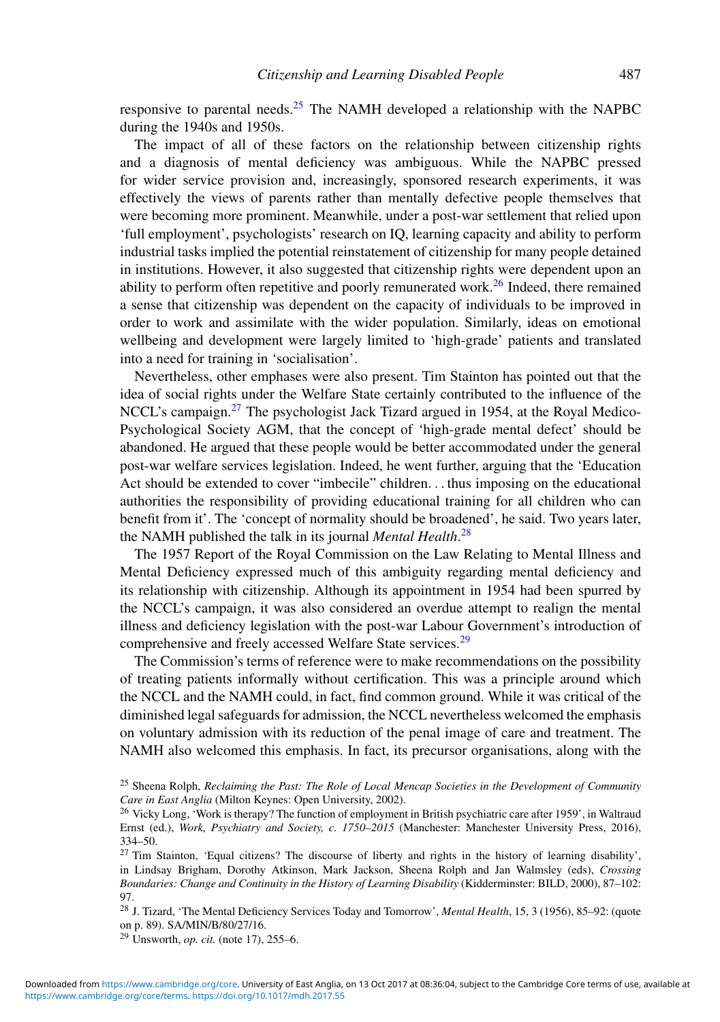responsive to parental needs.<sup>[25](#page-6-0)</sup> The NAMH developed a relationship with the NAPBC during the 1940s and 1950s.

The impact of all of these factors on the relationship between citizenship rights and a diagnosis of mental deficiency was ambiguous. While the NAPBC pressed for wider service provision and, increasingly, sponsored research experiments, it was effectively the views of parents rather than mentally defective people themselves that were becoming more prominent. Meanwhile, under a post-war settlement that relied upon 'full employment', psychologists' research on IQ, learning capacity and ability to perform industrial tasks implied the potential reinstatement of citizenship for many people detained in institutions. However, it also suggested that citizenship rights were dependent upon an ability to perform often repetitive and poorly remunerated work.<sup>[26](#page-6-1)</sup> Indeed, there remained a sense that citizenship was dependent on the capacity of individuals to be improved in order to work and assimilate with the wider population. Similarly, ideas on emotional wellbeing and development were largely limited to 'high-grade' patients and translated into a need for training in 'socialisation'.

Nevertheless, other emphases were also present. Tim Stainton has pointed out that the idea of social rights under the Welfare State certainly contributed to the influence of the NCCL's campaign.<sup>[27](#page-6-2)</sup> The psychologist Jack Tizard argued in 1954, at the Royal Medico-Psychological Society AGM, that the concept of 'high-grade mental defect' should be abandoned. He argued that these people would be better accommodated under the general post-war welfare services legislation. Indeed, he went further, arguing that the 'Education Act should be extended to cover "imbecile" children. . . thus imposing on the educational authorities the responsibility of providing educational training for all children who can benefit from it'. The 'concept of normality should be broadened', he said. Two years later, the NAMH published the talk in its journal *Mental Health*. [28](#page-6-3)

The 1957 Report of the Royal Commission on the Law Relating to Mental Illness and Mental Deficiency expressed much of this ambiguity regarding mental deficiency and its relationship with citizenship. Although its appointment in 1954 had been spurred by the NCCL's campaign, it was also considered an overdue attempt to realign the mental illness and deficiency legislation with the post-war Labour Government's introduction of comprehensive and freely accessed Welfare State services.<sup>[29](#page-6-4)</sup>

The Commission's terms of reference were to make recommendations on the possibility of treating patients informally without certification. This was a principle around which the NCCL and the NAMH could, in fact, find common ground. While it was critical of the diminished legal safeguards for admission, the NCCL nevertheless welcomed the emphasis on voluntary admission with its reduction of the penal image of care and treatment. The NAMH also welcomed this emphasis. In fact, its precursor organisations, along with the

<span id="page-6-0"></span><sup>25</sup> Sheena Rolph, *Reclaiming the Past: The Role of Local Mencap Societies in the Development of Community Care in East Anglia* (Milton Keynes: Open University, 2002).

<span id="page-6-1"></span><sup>&</sup>lt;sup>26</sup> Vicky Long, 'Work is therapy? The function of employment in British psychiatric care after 1959', in Waltraud Ernst (ed.), *Work, Psychiatry and Society, c. 1750–2015* (Manchester: Manchester University Press, 2016), 334–50.

<span id="page-6-2"></span><sup>&</sup>lt;sup>27</sup> Tim Stainton, 'Equal citizens? The discourse of liberty and rights in the history of learning disability', in Lindsay Brigham, Dorothy Atkinson, Mark Jackson, Sheena Rolph and Jan Walmsley (eds), *Crossing Boundaries: Change and Continuity in the History of Learning Disability* (Kidderminster: BILD, 2000), 87–102: 97.

<span id="page-6-3"></span><sup>28</sup> J. Tizard, 'The Mental Deficiency Services Today and Tomorrow', *Mental Health*, 15, 3 (1956), 85–92: (quote on p. 89). SA/MIN/B/80/27/16.

<span id="page-6-4"></span><sup>29</sup> Unsworth, *op. cit.* (note 17), 255–6.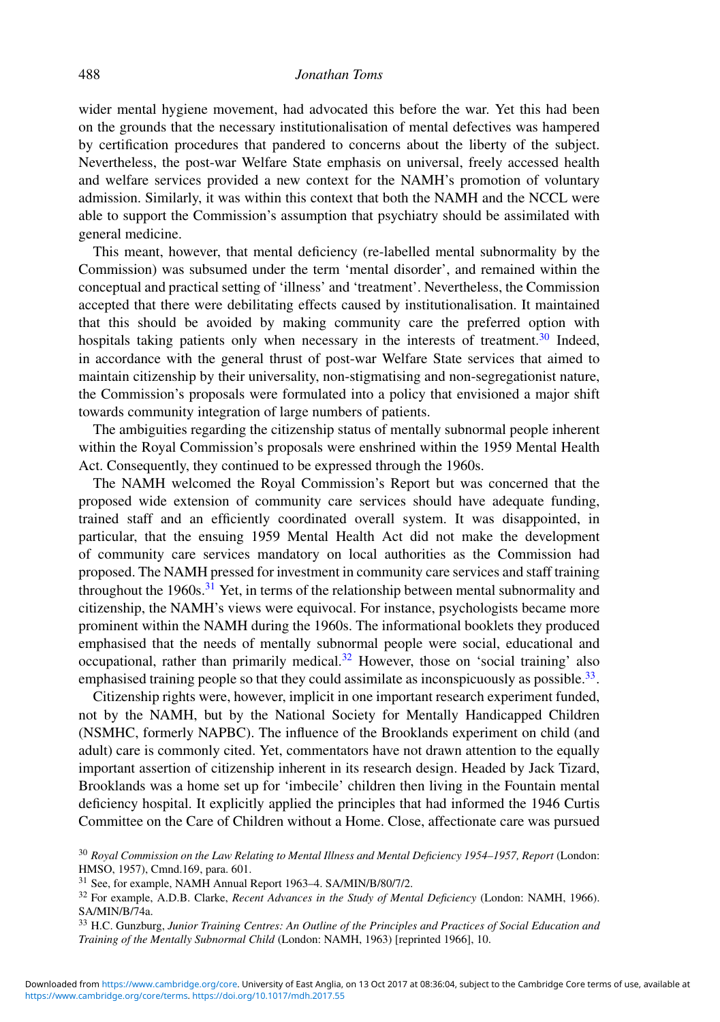wider mental hygiene movement, had advocated this before the war. Yet this had been on the grounds that the necessary institutionalisation of mental defectives was hampered by certification procedures that pandered to concerns about the liberty of the subject. Nevertheless, the post-war Welfare State emphasis on universal, freely accessed health and welfare services provided a new context for the NAMH's promotion of voluntary admission. Similarly, it was within this context that both the NAMH and the NCCL were able to support the Commission's assumption that psychiatry should be assimilated with general medicine.

This meant, however, that mental deficiency (re-labelled mental subnormality by the Commission) was subsumed under the term 'mental disorder', and remained within the conceptual and practical setting of 'illness' and 'treatment'. Nevertheless, the Commission accepted that there were debilitating effects caused by institutionalisation. It maintained that this should be avoided by making community care the preferred option with hospitals taking patients only when necessary in the interests of treatment.<sup>[30](#page-7-0)</sup> Indeed, in accordance with the general thrust of post-war Welfare State services that aimed to maintain citizenship by their universality, non-stigmatising and non-segregationist nature, the Commission's proposals were formulated into a policy that envisioned a major shift towards community integration of large numbers of patients.

The ambiguities regarding the citizenship status of mentally subnormal people inherent within the Royal Commission's proposals were enshrined within the 1959 Mental Health Act. Consequently, they continued to be expressed through the 1960s.

The NAMH welcomed the Royal Commission's Report but was concerned that the proposed wide extension of community care services should have adequate funding, trained staff and an efficiently coordinated overall system. It was disappointed, in particular, that the ensuing 1959 Mental Health Act did not make the development of community care services mandatory on local authorities as the Commission had proposed. The NAMH pressed for investment in community care services and staff training throughout the  $1960s<sup>31</sup>$  $1960s<sup>31</sup>$  $1960s<sup>31</sup>$  Yet, in terms of the relationship between mental subnormality and citizenship, the NAMH's views were equivocal. For instance, psychologists became more prominent within the NAMH during the 1960s. The informational booklets they produced emphasised that the needs of mentally subnormal people were social, educational and occupational, rather than primarily medical.<sup>[32](#page-7-2)</sup> However, those on 'social training' also emphasised training people so that they could assimilate as inconspicuously as possible. $^{33}$  $^{33}$  $^{33}$ .

Citizenship rights were, however, implicit in one important research experiment funded, not by the NAMH, but by the National Society for Mentally Handicapped Children (NSMHC, formerly NAPBC). The influence of the Brooklands experiment on child (and adult) care is commonly cited. Yet, commentators have not drawn attention to the equally important assertion of citizenship inherent in its research design. Headed by Jack Tizard, Brooklands was a home set up for 'imbecile' children then living in the Fountain mental deficiency hospital. It explicitly applied the principles that had informed the 1946 Curtis Committee on the Care of Children without a Home. Close, affectionate care was pursued

<span id="page-7-1"></span><sup>31</sup> See, for example, NAMH Annual Report 1963–4. SA/MIN/B/80/7/2.

<span id="page-7-2"></span><sup>32</sup> For example, A.D.B. Clarke, *Recent Advances in the Study of Mental Deficiency* (London: NAMH, 1966). SA/MIN/B/74a.

<span id="page-7-3"></span><sup>33</sup> H.C. Gunzburg, *Junior Training Centres: An Outline of the Principles and Practices of Social Education and Training of the Mentally Subnormal Child* (London: NAMH, 1963) [reprinted 1966], 10.

<span id="page-7-0"></span><sup>30</sup> *Royal Commission on the Law Relating to Mental Illness and Mental Deficiency 1954–1957, Report* (London: HMSO, 1957), Cmnd.169, para. 601.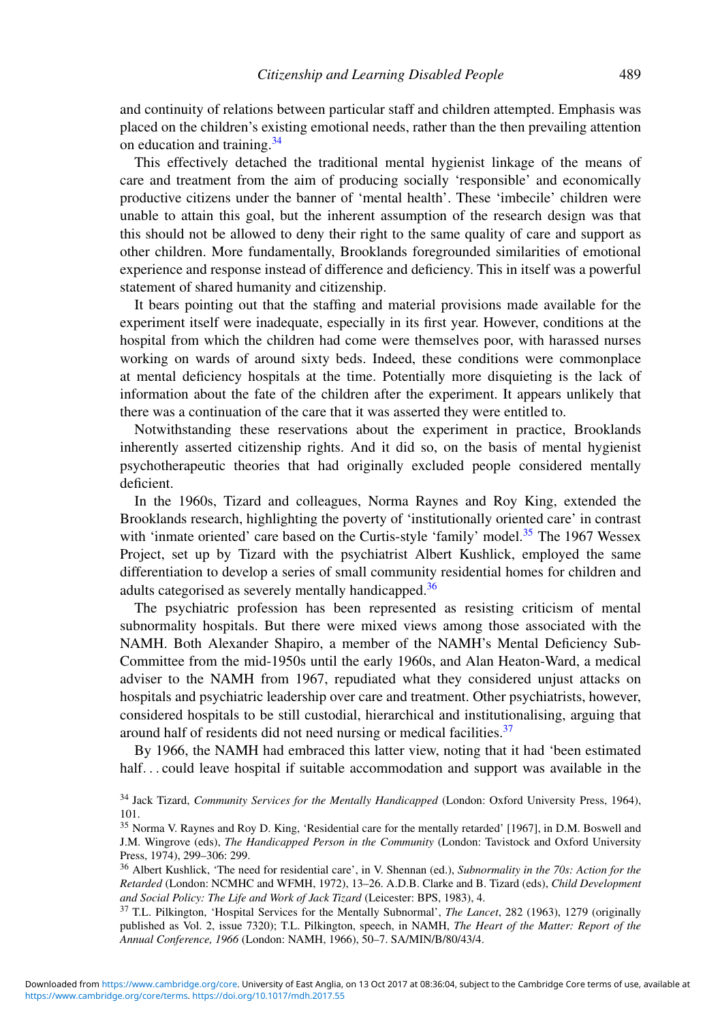and continuity of relations between particular staff and children attempted. Emphasis was placed on the children's existing emotional needs, rather than the then prevailing attention on education and training.<sup>[34](#page-8-0)</sup>

This effectively detached the traditional mental hygienist linkage of the means of care and treatment from the aim of producing socially 'responsible' and economically productive citizens under the banner of 'mental health'. These 'imbecile' children were unable to attain this goal, but the inherent assumption of the research design was that this should not be allowed to deny their right to the same quality of care and support as other children. More fundamentally, Brooklands foregrounded similarities of emotional experience and response instead of difference and deficiency. This in itself was a powerful statement of shared humanity and citizenship.

It bears pointing out that the staffing and material provisions made available for the experiment itself were inadequate, especially in its first year. However, conditions at the hospital from which the children had come were themselves poor, with harassed nurses working on wards of around sixty beds. Indeed, these conditions were commonplace at mental deficiency hospitals at the time. Potentially more disquieting is the lack of information about the fate of the children after the experiment. It appears unlikely that there was a continuation of the care that it was asserted they were entitled to.

Notwithstanding these reservations about the experiment in practice, Brooklands inherently asserted citizenship rights. And it did so, on the basis of mental hygienist psychotherapeutic theories that had originally excluded people considered mentally deficient.

In the 1960s, Tizard and colleagues, Norma Raynes and Roy King, extended the Brooklands research, highlighting the poverty of 'institutionally oriented care' in contrast with 'inmate oriented' care based on the Curtis-style 'family' model.<sup>[35](#page-8-1)</sup> The 1967 Wessex Project, set up by Tizard with the psychiatrist Albert Kushlick, employed the same differentiation to develop a series of small community residential homes for children and adults categorised as severely mentally handicapped.<sup>[36](#page-8-2)</sup>

The psychiatric profession has been represented as resisting criticism of mental subnormality hospitals. But there were mixed views among those associated with the NAMH. Both Alexander Shapiro, a member of the NAMH's Mental Deficiency Sub-Committee from the mid-1950s until the early 1960s, and Alan Heaton-Ward, a medical adviser to the NAMH from 1967, repudiated what they considered unjust attacks on hospitals and psychiatric leadership over care and treatment. Other psychiatrists, however, considered hospitals to be still custodial, hierarchical and institutionalising, arguing that around half of residents did not need nursing or medical facilities.<sup>[37](#page-8-3)</sup>

By 1966, the NAMH had embraced this latter view, noting that it had 'been estimated half... could leave hospital if suitable accommodation and support was available in the

<span id="page-8-0"></span><sup>34</sup> Jack Tizard, *Community Services for the Mentally Handicapped* (London: Oxford University Press, 1964), 101.

<span id="page-8-1"></span><sup>35</sup> Norma V. Raynes and Roy D. King, 'Residential care for the mentally retarded' [1967], in D.M. Boswell and J.M. Wingrove (eds), *The Handicapped Person in the Community* (London: Tavistock and Oxford University Press, 1974), 299–306: 299.

<span id="page-8-2"></span><sup>36</sup> Albert Kushlick, 'The need for residential care', in V. Shennan (ed.), *Subnormality in the 70s: Action for the Retarded* (London: NCMHC and WFMH, 1972), 13–26. A.D.B. Clarke and B. Tizard (eds), *Child Development and Social Policy: The Life and Work of Jack Tizard* (Leicester: BPS, 1983), 4.

<span id="page-8-3"></span><sup>37</sup> T.L. Pilkington, 'Hospital Services for the Mentally Subnormal', *The Lancet*, 282 (1963), 1279 (originally published as Vol. 2, issue 7320); T.L. Pilkington, speech, in NAMH, *The Heart of the Matter: Report of the Annual Conference, 1966* (London: NAMH, 1966), 50–7. SA/MIN/B/80/43/4.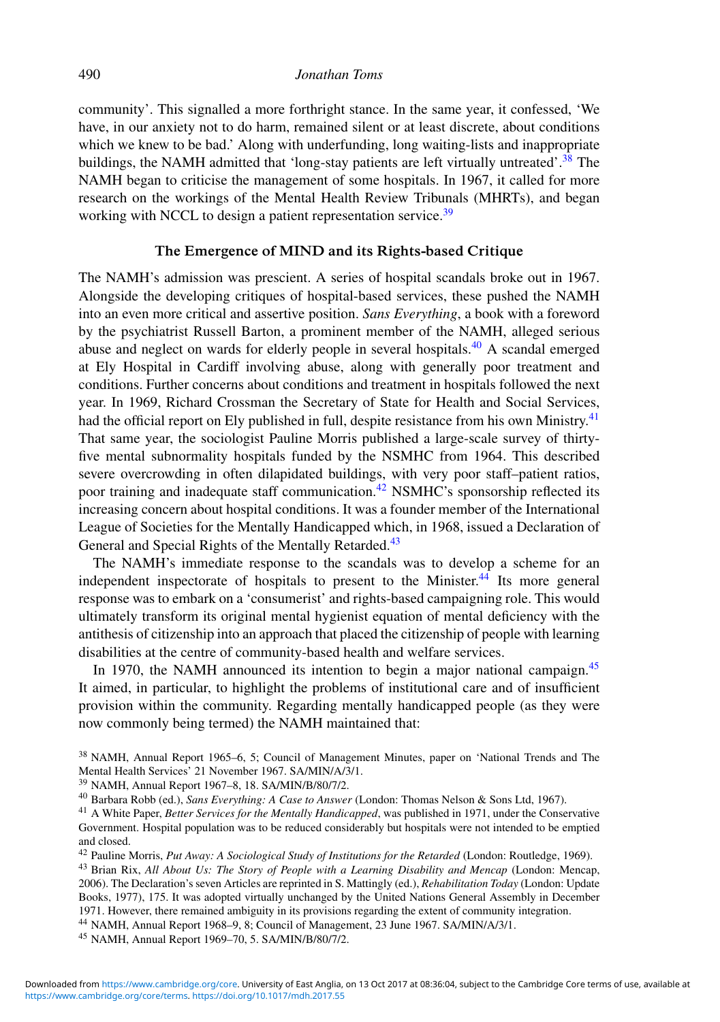community'. This signalled a more forthright stance. In the same year, it confessed, 'We have, in our anxiety not to do harm, remained silent or at least discrete, about conditions which we knew to be bad.' Along with underfunding, long waiting-lists and inappropriate buildings, the NAMH admitted that 'long-stay patients are left virtually untreated'.<sup>[38](#page-9-0)</sup> The NAMH began to criticise the management of some hospitals. In 1967, it called for more research on the workings of the Mental Health Review Tribunals (MHRTs), and began working with NCCL to design a patient representation service.<sup>[39](#page-9-1)</sup>

## The Emergence of MIND and its Rights-based Critique

The NAMH's admission was prescient. A series of hospital scandals broke out in 1967. Alongside the developing critiques of hospital-based services, these pushed the NAMH into an even more critical and assertive position. *Sans Everything*, a book with a foreword by the psychiatrist Russell Barton, a prominent member of the NAMH, alleged serious abuse and neglect on wards for elderly people in several hospitals. $40$  A scandal emerged at Ely Hospital in Cardiff involving abuse, along with generally poor treatment and conditions. Further concerns about conditions and treatment in hospitals followed the next year. In 1969, Richard Crossman the Secretary of State for Health and Social Services, had the official report on Ely published in full, despite resistance from his own Ministry.<sup>[41](#page-9-3)</sup> That same year, the sociologist Pauline Morris published a large-scale survey of thirtyfive mental subnormality hospitals funded by the NSMHC from 1964. This described severe overcrowding in often dilapidated buildings, with very poor staff–patient ratios, poor training and inadequate staff communication.<sup>[42](#page-9-4)</sup> NSMHC's sponsorship reflected its increasing concern about hospital conditions. It was a founder member of the International League of Societies for the Mentally Handicapped which, in 1968, issued a Declaration of General and Special Rights of the Mentally Retarded.<sup>[43](#page-9-5)</sup>

The NAMH's immediate response to the scandals was to develop a scheme for an independent inspectorate of hospitals to present to the Minister.<sup>[44](#page-9-6)</sup> Its more general response was to embark on a 'consumerist' and rights-based campaigning role. This would ultimately transform its original mental hygienist equation of mental deficiency with the antithesis of citizenship into an approach that placed the citizenship of people with learning disabilities at the centre of community-based health and welfare services.

In 1970, the NAMH announced its intention to begin a major national campaign.<sup>[45](#page-9-7)</sup> It aimed, in particular, to highlight the problems of institutional care and of insufficient provision within the community. Regarding mentally handicapped people (as they were now commonly being termed) the NAMH maintained that:

<span id="page-9-0"></span><sup>38</sup> NAMH, Annual Report 1965–6, 5; Council of Management Minutes, paper on 'National Trends and The Mental Health Services' 21 November 1967. SA/MIN/A/3/1.

<span id="page-9-2"></span><span id="page-9-1"></span><sup>39</sup> NAMH, Annual Report 1967–8, 18. SA/MIN/B/80/7/2.

<sup>40</sup> Barbara Robb (ed.), *Sans Everything: A Case to Answer* (London: Thomas Nelson & Sons Ltd, 1967).

<span id="page-9-3"></span><sup>41</sup> A White Paper, *Better Services for the Mentally Handicapped*, was published in 1971, under the Conservative Government. Hospital population was to be reduced considerably but hospitals were not intended to be emptied and closed.

<span id="page-9-5"></span><span id="page-9-4"></span><sup>42</sup> Pauline Morris, *Put Away: A Sociological Study of Institutions for the Retarded* (London: Routledge, 1969). <sup>43</sup> Brian Rix, *All About Us: The Story of People with a Learning Disability and Mencap* (London: Mencap, 2006). The Declaration's seven Articles are reprinted in S. Mattingly (ed.), *Rehabilitation Today* (London: Update Books, 1977), 175. It was adopted virtually unchanged by the United Nations General Assembly in December 1971. However, there remained ambiguity in its provisions regarding the extent of community integration. <sup>44</sup> NAMH, Annual Report 1968–9, 8; Council of Management, 23 June 1967. SA/MIN/A/3/1.

<span id="page-9-7"></span><span id="page-9-6"></span>

<sup>45</sup> NAMH, Annual Report 1969–70, 5. SA/MIN/B/80/7/2.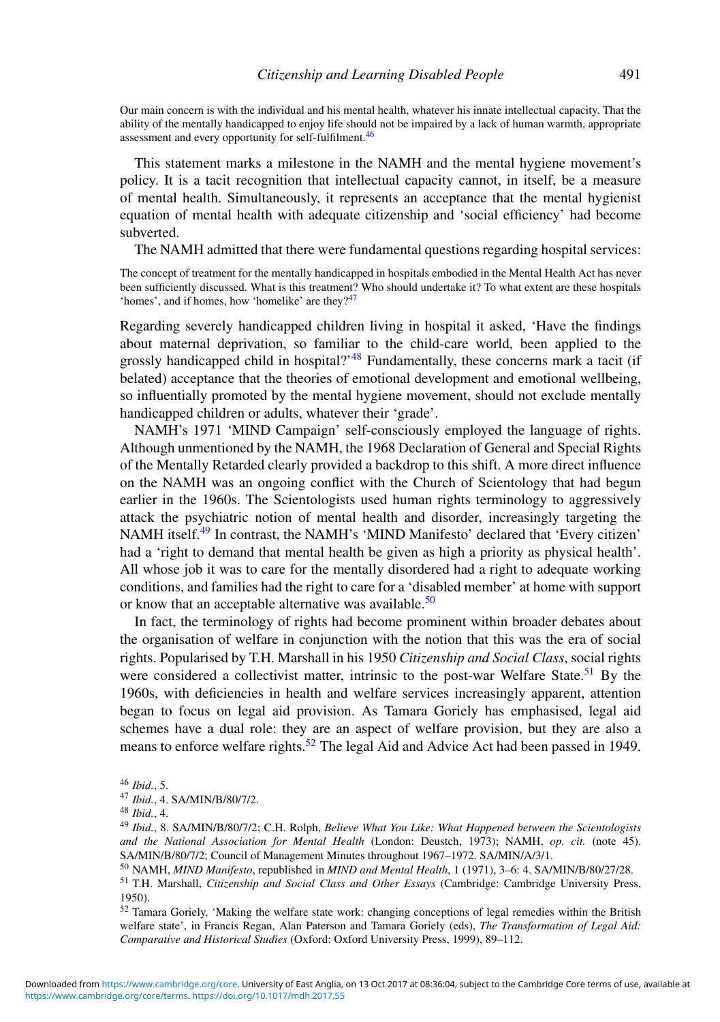Our main concern is with the individual and his mental health, whatever his innate intellectual capacity. That the ability of the mentally handicapped to enjoy life should not be impaired by a lack of human warmth, appropriate assessment and every opportunity for self-fulfilment.<sup>[46](#page-10-0)</sup>

This statement marks a milestone in the NAMH and the mental hygiene movement's policy. It is a tacit recognition that intellectual capacity cannot, in itself, be a measure of mental health. Simultaneously, it represents an acceptance that the mental hygienist equation of mental health with adequate citizenship and 'social efficiency' had become subverted.

The NAMH admitted that there were fundamental questions regarding hospital services:

The concept of treatment for the mentally handicapped in hospitals embodied in the Mental Health Act has never been sufficiently discussed. What is this treatment? Who should undertake it? To what extent are these hospitals 'homes', and if homes, how 'homelike' are they?<sup>[47](#page-10-1)</sup>

Regarding severely handicapped children living in hospital it asked, 'Have the findings about maternal deprivation, so familiar to the child-care world, been applied to the grossly handicapped child in hospital?<sup>[48](#page-10-2)</sup> Fundamentally, these concerns mark a tacit (if belated) acceptance that the theories of emotional development and emotional wellbeing, so influentially promoted by the mental hygiene movement, should not exclude mentally handicapped children or adults, whatever their 'grade'.

NAMH's 1971 'MIND Campaign' self-consciously employed the language of rights. Although unmentioned by the NAMH, the 1968 Declaration of General and Special Rights of the Mentally Retarded clearly provided a backdrop to this shift. A more direct influence on the NAMH was an ongoing conflict with the Church of Scientology that had begun earlier in the 1960s. The Scientologists used human rights terminology to aggressively attack the psychiatric notion of mental health and disorder, increasingly targeting the NAMH itself.<sup>[49](#page-10-3)</sup> In contrast, the NAMH's 'MIND Manifesto' declared that 'Every citizen' had a 'right to demand that mental health be given as high a priority as physical health'. All whose job it was to care for the mentally disordered had a right to adequate working conditions, and families had the right to care for a 'disabled member' at home with support or know that an acceptable alternative was available.<sup>[50](#page-10-4)</sup>

In fact, the terminology of rights had become prominent within broader debates about the organisation of welfare in conjunction with the notion that this was the era of social rights. Popularised by T.H. Marshall in his 1950 *Citizenship and Social Class*, social rights were considered a collectivist matter, intrinsic to the post-war Welfare State.<sup>[51](#page-10-5)</sup> By the 1960s, with deficiencies in health and welfare services increasingly apparent, attention began to focus on legal aid provision. As Tamara Goriely has emphasised, legal aid schemes have a dual role: they are an aspect of welfare provision, but they are also a means to enforce welfare rights.<sup>[52](#page-10-6)</sup> The legal Aid and Advice Act had been passed in 1949.

<span id="page-10-0"></span><sup>46</sup> *Ibid.*, 5.

<span id="page-10-1"></span><sup>47</sup> *Ibid.*, 4. SA/MIN/B/80/7/2.

<span id="page-10-2"></span><sup>48</sup> *Ibid.*, 4.

<span id="page-10-3"></span><sup>49</sup> *Ibid.*, 8. SA/MIN/B/80/7/2; C.H. Rolph, *Believe What You Like: What Happened between the Scientologists and the National Association for Mental Health* (London: Deustch, 1973); NAMH, *op. cit.* (note 45). SA/MIN/B/80/7/2; Council of Management Minutes throughout 1967–1972. SA/MIN/A/3/1.

<span id="page-10-5"></span><span id="page-10-4"></span><sup>50</sup> NAMH, *MIND Manifesto*, republished in *MIND and Mental Health*, 1 (1971), 3–6: 4. SA/MIN/B/80/27/28.

<sup>51</sup> T.H. Marshall, *Citizenship and Social Class and Other Essays* (Cambridge: Cambridge University Press, 1950).

<span id="page-10-6"></span><sup>52</sup> Tamara Goriely, 'Making the welfare state work: changing conceptions of legal remedies within the British welfare state', in Francis Regan, Alan Paterson and Tamara Goriely (eds), *The Transformation of Legal Aid: Comparative and Historical Studies* (Oxford: Oxford University Press, 1999), 89–112.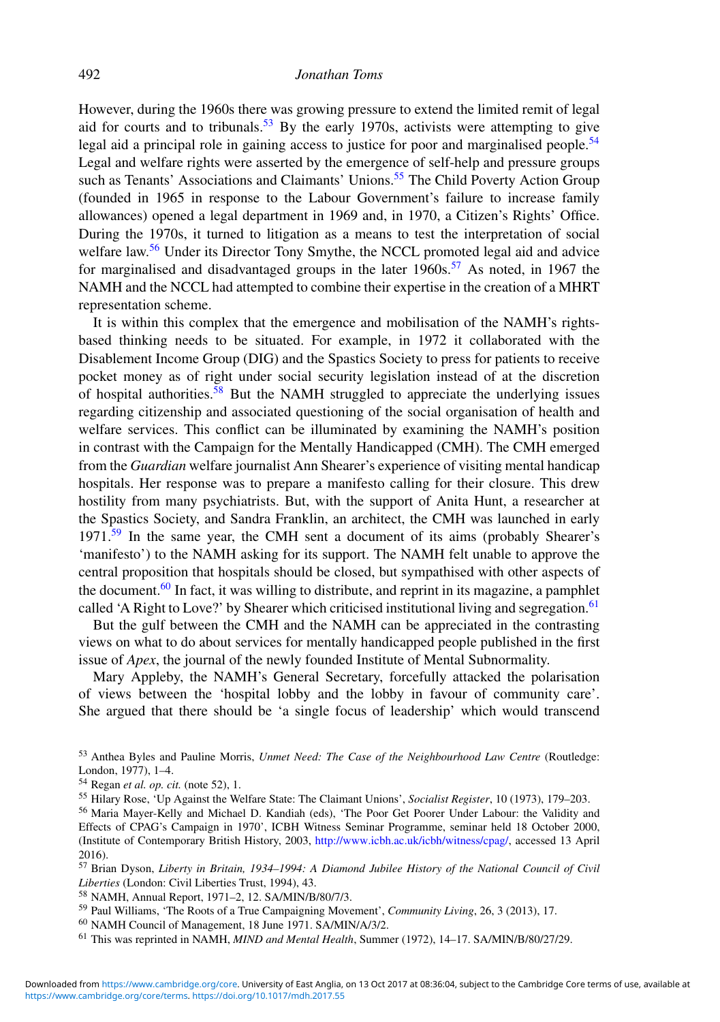However, during the 1960s there was growing pressure to extend the limited remit of legal aid for courts and to tribunals.<sup>[53](#page-11-0)</sup> By the early 1970s, activists were attempting to give legal aid a principal role in gaining access to justice for poor and marginalised people.<sup>[54](#page-11-1)</sup> Legal and welfare rights were asserted by the emergence of self-help and pressure groups such as Tenants' Associations and Claimants' Unions.<sup>[55](#page-11-2)</sup> The Child Poverty Action Group (founded in 1965 in response to the Labour Government's failure to increase family allowances) opened a legal department in 1969 and, in 1970, a Citizen's Rights' Office. During the 1970s, it turned to litigation as a means to test the interpretation of social welfare law.<sup>[56](#page-11-3)</sup> Under its Director Tony Smythe, the NCCL promoted legal aid and advice for marginalised and disadvantaged groups in the later  $1960s$ .<sup>[57](#page-11-4)</sup> As noted, in 1967 the NAMH and the NCCL had attempted to combine their expertise in the creation of a MHRT representation scheme.

It is within this complex that the emergence and mobilisation of the NAMH's rightsbased thinking needs to be situated. For example, in 1972 it collaborated with the Disablement Income Group (DIG) and the Spastics Society to press for patients to receive pocket money as of right under social security legislation instead of at the discretion of hospital authorities.<sup>[58](#page-11-5)</sup> But the NAMH struggled to appreciate the underlying issues regarding citizenship and associated questioning of the social organisation of health and welfare services. This conflict can be illuminated by examining the NAMH's position in contrast with the Campaign for the Mentally Handicapped (CMH). The CMH emerged from the *Guardian* welfare journalist Ann Shearer's experience of visiting mental handicap hospitals. Her response was to prepare a manifesto calling for their closure. This drew hostility from many psychiatrists. But, with the support of Anita Hunt, a researcher at the Spastics Society, and Sandra Franklin, an architect, the CMH was launched in early  $1971<sup>59</sup>$  $1971<sup>59</sup>$  $1971<sup>59</sup>$  In the same year, the CMH sent a document of its aims (probably Shearer's 'manifesto') to the NAMH asking for its support. The NAMH felt unable to approve the central proposition that hospitals should be closed, but sympathised with other aspects of the document.<sup>[60](#page-11-7)</sup> In fact, it was willing to distribute, and reprint in its magazine, a pamphlet called 'A Right to Love?' by Shearer which criticised institutional living and segregation.<sup>[61](#page-11-8)</sup>

But the gulf between the CMH and the NAMH can be appreciated in the contrasting views on what to do about services for mentally handicapped people published in the first issue of *Apex*, the journal of the newly founded Institute of Mental Subnormality.

Mary Appleby, the NAMH's General Secretary, forcefully attacked the polarisation of views between the 'hospital lobby and the lobby in favour of community care'. She argued that there should be 'a single focus of leadership' which would transcend

<span id="page-11-0"></span><sup>53</sup> Anthea Byles and Pauline Morris, *Unmet Need: The Case of the Neighbourhood Law Centre* (Routledge: London, 1977), 1–4.

<span id="page-11-2"></span><span id="page-11-1"></span><sup>54</sup> Regan *et al. op. cit.* (note 52), 1.

<sup>55</sup> Hilary Rose, 'Up Against the Welfare State: The Claimant Unions', *Socialist Register*, 10 (1973), 179–203.

<span id="page-11-3"></span><sup>56</sup> Maria Mayer-Kelly and Michael D. Kandiah (eds), 'The Poor Get Poorer Under Labour: the Validity and Effects of CPAG's Campaign in 1970', ICBH Witness Seminar Programme, seminar held 18 October 2000, (Institute of Contemporary British History, 2003, [http://www.icbh.ac.uk/icbh/witness/cpag/,](http://www.icbh.ac.uk/icbh/witness/cpag/) accessed 13 April 2016).

<span id="page-11-4"></span><sup>57</sup> Brian Dyson, *Liberty in Britain, 1934–1994: A Diamond Jubilee History of the National Council of Civil Liberties* (London: Civil Liberties Trust, 1994), 43.

<span id="page-11-5"></span><sup>58</sup> NAMH, Annual Report, 1971–2, 12. SA/MIN/B/80/7/3.

<span id="page-11-7"></span><span id="page-11-6"></span><sup>59</sup> Paul Williams, 'The Roots of a True Campaigning Movement', *Community Living*, 26, 3 (2013), 17.

<span id="page-11-8"></span><sup>60</sup> NAMH Council of Management, 18 June 1971. SA/MIN/A/3/2.

<sup>61</sup> This was reprinted in NAMH, *MIND and Mental Health*, Summer (1972), 14–17. SA/MIN/B/80/27/29.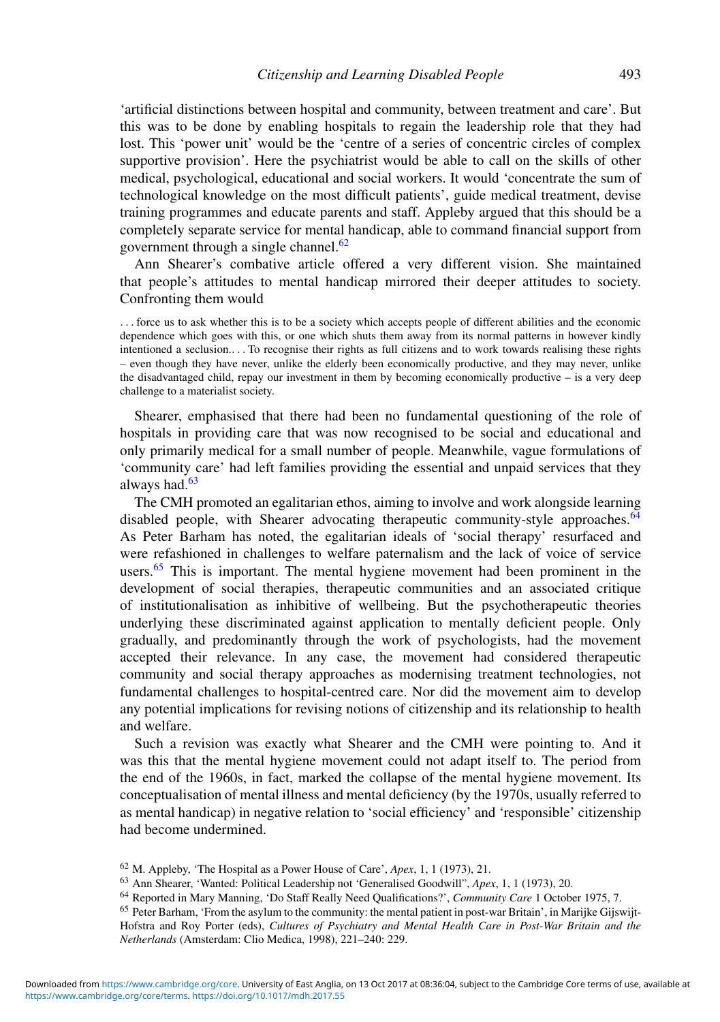'artificial distinctions between hospital and community, between treatment and care'. But this was to be done by enabling hospitals to regain the leadership role that they had lost. This 'power unit' would be the 'centre of a series of concentric circles of complex supportive provision'. Here the psychiatrist would be able to call on the skills of other medical, psychological, educational and social workers. It would 'concentrate the sum of technological knowledge on the most difficult patients', guide medical treatment, devise training programmes and educate parents and staff. Appleby argued that this should be a completely separate service for mental handicap, able to command financial support from government through a single channel. $62$ 

Ann Shearer's combative article offered a very different vision. She maintained that people's attitudes to mental handicap mirrored their deeper attitudes to society. Confronting them would

. . . force us to ask whether this is to be a society which accepts people of different abilities and the economic dependence which goes with this, or one which shuts them away from its normal patterns in however kindly intentioned a seclusion.. . . To recognise their rights as full citizens and to work towards realising these rights – even though they have never, unlike the elderly been economically productive, and they may never, unlike the disadvantaged child, repay our investment in them by becoming economically productive – is a very deep challenge to a materialist society.

Shearer, emphasised that there had been no fundamental questioning of the role of hospitals in providing care that was now recognised to be social and educational and only primarily medical for a small number of people. Meanwhile, vague formulations of 'community care' had left families providing the essential and unpaid services that they always had.<sup>[63](#page-12-1)</sup>

The CMH promoted an egalitarian ethos, aiming to involve and work alongside learning disabled people, with Shearer advocating therapeutic community-style approaches.<sup>[64](#page-12-2)</sup> As Peter Barham has noted, the egalitarian ideals of 'social therapy' resurfaced and were refashioned in challenges to welfare paternalism and the lack of voice of service users.<sup>[65](#page-12-3)</sup> This is important. The mental hygiene movement had been prominent in the development of social therapies, therapeutic communities and an associated critique of institutionalisation as inhibitive of wellbeing. But the psychotherapeutic theories underlying these discriminated against application to mentally deficient people. Only gradually, and predominantly through the work of psychologists, had the movement accepted their relevance. In any case, the movement had considered therapeutic community and social therapy approaches as modernising treatment technologies, not fundamental challenges to hospital-centred care. Nor did the movement aim to develop any potential implications for revising notions of citizenship and its relationship to health and welfare.

Such a revision was exactly what Shearer and the CMH were pointing to. And it was this that the mental hygiene movement could not adapt itself to. The period from the end of the 1960s, in fact, marked the collapse of the mental hygiene movement. Its conceptualisation of mental illness and mental deficiency (by the 1970s, usually referred to as mental handicap) in negative relation to 'social efficiency' and 'responsible' citizenship had become undermined.

<span id="page-12-0"></span><sup>62</sup> M. Appleby, 'The Hospital as a Power House of Care', *Apex*, 1, 1 (1973), 21.

<span id="page-12-1"></span><sup>63</sup> Ann Shearer, 'Wanted: Political Leadership not 'Generalised Goodwill", *Apex*, 1, 1 (1973), 20.

<span id="page-12-3"></span><span id="page-12-2"></span><sup>64</sup> Reported in Mary Manning, 'Do Staff Really Need Qualifications?', *Community Care* 1 October 1975, 7.

<sup>&</sup>lt;sup>65</sup> Peter Barham, 'From the asylum to the community: the mental patient in post-war Britain', in Marijke Gijswijt-Hofstra and Roy Porter (eds), *Cultures of Psychiatry and Mental Health Care in Post-War Britain and the Netherlands* (Amsterdam: Clio Medica, 1998), 221–240: 229.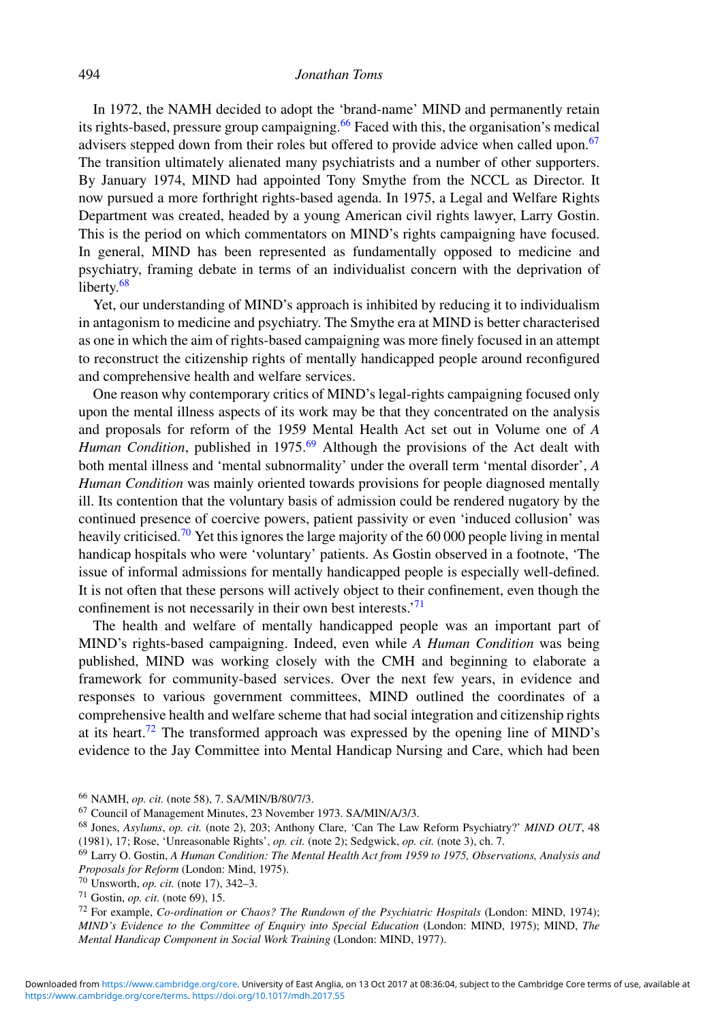#### 494 *Jonathan Toms*

In 1972, the NAMH decided to adopt the 'brand-name' MIND and permanently retain its rights-based, pressure group campaigning.<sup>[66](#page-13-0)</sup> Faced with this, the organisation's medical advisers stepped down from their roles but offered to provide advice when called upon.<sup>[67](#page-13-1)</sup> The transition ultimately alienated many psychiatrists and a number of other supporters. By January 1974, MIND had appointed Tony Smythe from the NCCL as Director. It now pursued a more forthright rights-based agenda. In 1975, a Legal and Welfare Rights Department was created, headed by a young American civil rights lawyer, Larry Gostin. This is the period on which commentators on MIND's rights campaigning have focused. In general, MIND has been represented as fundamentally opposed to medicine and psychiatry, framing debate in terms of an individualist concern with the deprivation of liberty.<sup>[68](#page-13-2)</sup>

Yet, our understanding of MIND's approach is inhibited by reducing it to individualism in antagonism to medicine and psychiatry. The Smythe era at MIND is better characterised as one in which the aim of rights-based campaigning was more finely focused in an attempt to reconstruct the citizenship rights of mentally handicapped people around reconfigured and comprehensive health and welfare services.

One reason why contemporary critics of MIND's legal-rights campaigning focused only upon the mental illness aspects of its work may be that they concentrated on the analysis and proposals for reform of the 1959 Mental Health Act set out in Volume one of *A Human Condition*, published in 1975. $\frac{69}{9}$  $\frac{69}{9}$  $\frac{69}{9}$  Although the provisions of the Act dealt with both mental illness and 'mental subnormality' under the overall term 'mental disorder', *A Human Condition* was mainly oriented towards provisions for people diagnosed mentally ill. Its contention that the voluntary basis of admission could be rendered nugatory by the continued presence of coercive powers, patient passivity or even 'induced collusion' was heavily criticised.<sup>[70](#page-13-4)</sup> Yet this ignores the large majority of the 60 000 people living in mental handicap hospitals who were 'voluntary' patients. As Gostin observed in a footnote, 'The issue of informal admissions for mentally handicapped people is especially well-defined. It is not often that these persons will actively object to their confinement, even though the confinement is not necessarily in their own best interests.<sup>'[71](#page-13-5)</sup>

The health and welfare of mentally handicapped people was an important part of MIND's rights-based campaigning. Indeed, even while *A Human Condition* was being published, MIND was working closely with the CMH and beginning to elaborate a framework for community-based services. Over the next few years, in evidence and responses to various government committees, MIND outlined the coordinates of a comprehensive health and welfare scheme that had social integration and citizenship rights at its heart.<sup>[72](#page-13-6)</sup> The transformed approach was expressed by the opening line of MIND's evidence to the Jay Committee into Mental Handicap Nursing and Care, which had been

<span id="page-13-0"></span><sup>66</sup> NAMH, *op. cit.* (note 58), 7. SA/MIN/B/80/7/3.

<sup>72</sup> For example, *Co-ordination or Chaos? The Rundown of the Psychiatric Hospitals* (London: MIND, 1974); *MIND's Evidence to the Committee of Enquiry into Special Education* (London: MIND, 1975); MIND, *The Mental Handicap Component in Social Work Training* (London: MIND, 1977).

<span id="page-13-2"></span><span id="page-13-1"></span><sup>67</sup> Council of Management Minutes, 23 November 1973. SA/MIN/A/3/3.

<sup>68</sup> Jones, *Asylums*, *op. cit.* (note 2), 203; Anthony Clare, 'Can The Law Reform Psychiatry?' *MIND OUT*, 48 (1981), 17; Rose, 'Unreasonable Rights', *op. cit.* (note 2); Sedgwick, *op. cit.* (note 3), ch. 7.

<span id="page-13-3"></span><sup>69</sup> Larry O. Gostin, *A Human Condition: The Mental Health Act from 1959 to 1975, Observations, Analysis and Proposals for Reform* (London: Mind, 1975).

<span id="page-13-4"></span><sup>70</sup> Unsworth, *op. cit.* (note 17), 342–3.

<span id="page-13-6"></span><span id="page-13-5"></span><sup>71</sup> Gostin, *op. cit.* (note 69), 15.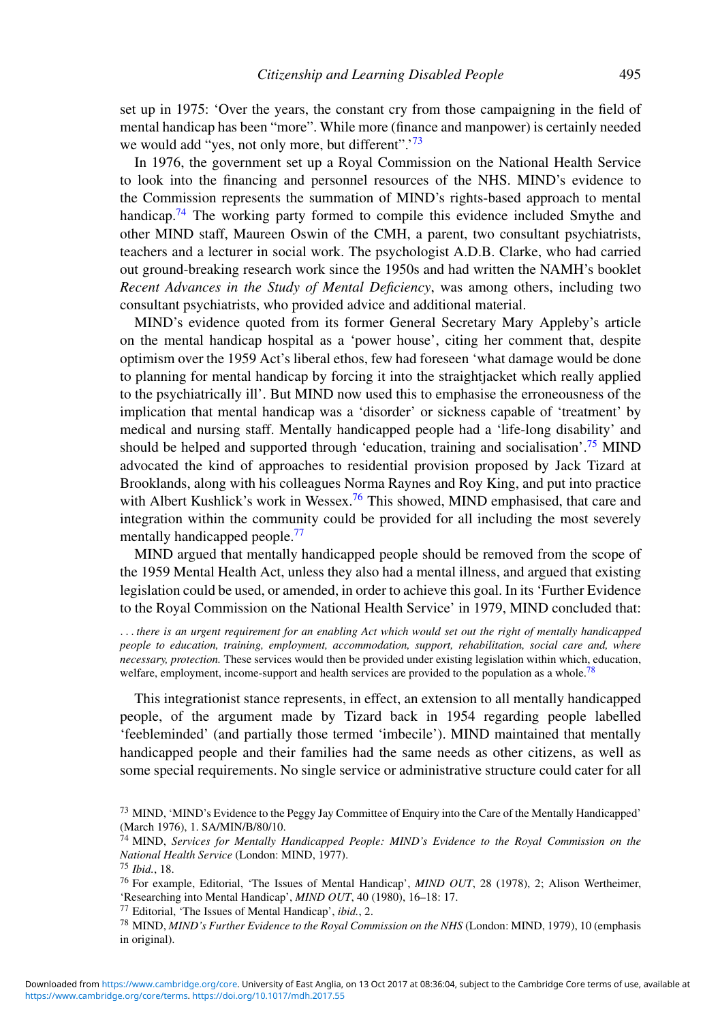set up in 1975: 'Over the years, the constant cry from those campaigning in the field of mental handicap has been "more". While more (finance and manpower) is certainly needed we would add "yes, not only more, but different".<sup>[73](#page-14-0)</sup>

In 1976, the government set up a Royal Commission on the National Health Service to look into the financing and personnel resources of the NHS. MIND's evidence to the Commission represents the summation of MIND's rights-based approach to mental handicap.<sup>[74](#page-14-1)</sup> The working party formed to compile this evidence included Smythe and other MIND staff, Maureen Oswin of the CMH, a parent, two consultant psychiatrists, teachers and a lecturer in social work. The psychologist A.D.B. Clarke, who had carried out ground-breaking research work since the 1950s and had written the NAMH's booklet *Recent Advances in the Study of Mental Deficiency*, was among others, including two consultant psychiatrists, who provided advice and additional material.

MIND's evidence quoted from its former General Secretary Mary Appleby's article on the mental handicap hospital as a 'power house', citing her comment that, despite optimism over the 1959 Act's liberal ethos, few had foreseen 'what damage would be done to planning for mental handicap by forcing it into the straightjacket which really applied to the psychiatrically ill'. But MIND now used this to emphasise the erroneousness of the implication that mental handicap was a 'disorder' or sickness capable of 'treatment' by medical and nursing staff. Mentally handicapped people had a 'life-long disability' and should be helped and supported through 'education, training and socialisation'.<sup>[75](#page-14-2)</sup> MIND advocated the kind of approaches to residential provision proposed by Jack Tizard at Brooklands, along with his colleagues Norma Raynes and Roy King, and put into practice with Albert Kushlick's work in Wessex.<sup>[76](#page-14-3)</sup> This showed, MIND emphasised, that care and integration within the community could be provided for all including the most severely mentally handicapped people.<sup>[77](#page-14-4)</sup>

MIND argued that mentally handicapped people should be removed from the scope of the 1959 Mental Health Act, unless they also had a mental illness, and argued that existing legislation could be used, or amended, in order to achieve this goal. In its 'Further Evidence to the Royal Commission on the National Health Service' in 1979, MIND concluded that:

. . . *there is an urgent requirement for an enabling Act which would set out the right of mentally handicapped people to education, training, employment, accommodation, support, rehabilitation, social care and, where necessary, protection.* These services would then be provided under existing legislation within which, education, welfare, employment, income-support and health services are provided to the population as a whole.<sup>[78](#page-14-5)</sup>

This integrationist stance represents, in effect, an extension to all mentally handicapped people, of the argument made by Tizard back in 1954 regarding people labelled 'feebleminded' (and partially those termed 'imbecile'). MIND maintained that mentally handicapped people and their families had the same needs as other citizens, as well as some special requirements. No single service or administrative structure could cater for all

<span id="page-14-0"></span> $^{73}$  MIND, 'MIND's Evidence to the Peggy Jay Committee of Enquiry into the Care of the Mentally Handicapped' (March 1976), 1. SA/MIN/B/80/10.

<span id="page-14-1"></span><sup>74</sup> MIND, *Services for Mentally Handicapped People: MIND's Evidence to the Royal Commission on the National Health Service* (London: MIND, 1977).

<span id="page-14-2"></span><sup>75</sup> *Ibid.*, 18.

<span id="page-14-3"></span><sup>76</sup> For example, Editorial, 'The Issues of Mental Handicap', *MIND OUT*, 28 (1978), 2; Alison Wertheimer, 'Researching into Mental Handicap', *MIND OUT*, 40 (1980), 16–18: 17.

<span id="page-14-4"></span><sup>77</sup> Editorial, 'The Issues of Mental Handicap', *ibid.*, 2.

<span id="page-14-5"></span><sup>78</sup> MIND, *MIND's Further Evidence to the Royal Commission on the NHS* (London: MIND, 1979), 10 (emphasis in original).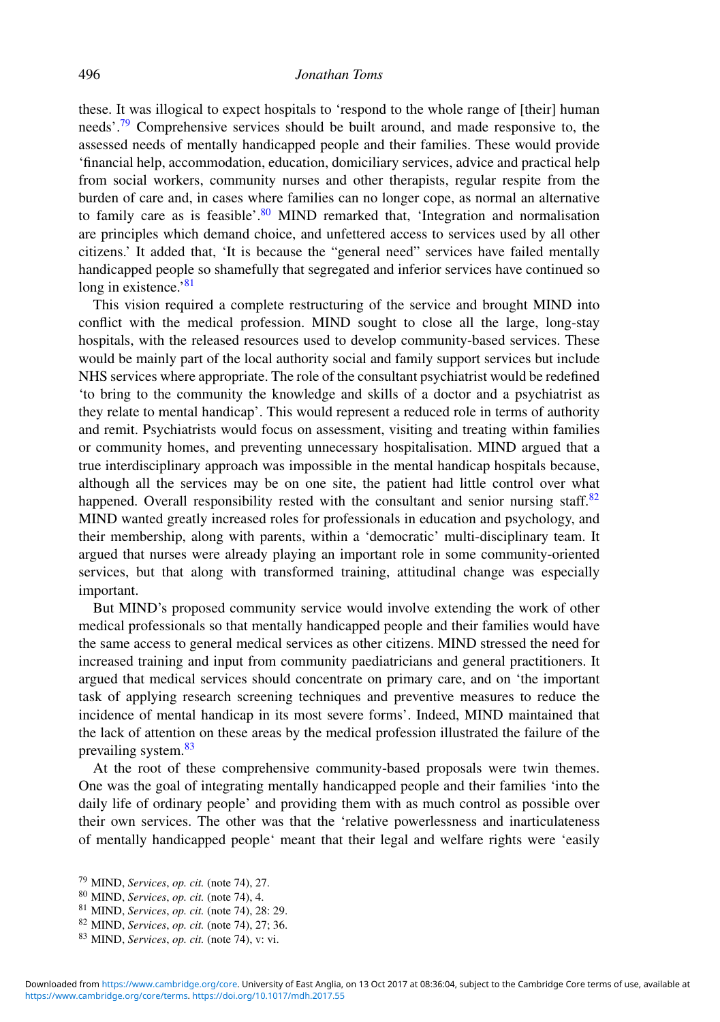these. It was illogical to expect hospitals to 'respond to the whole range of [their] human needs'.[79](#page-15-0) Comprehensive services should be built around, and made responsive to, the assessed needs of mentally handicapped people and their families. These would provide 'financial help, accommodation, education, domiciliary services, advice and practical help from social workers, community nurses and other therapists, regular respite from the burden of care and, in cases where families can no longer cope, as normal an alternative to family care as is feasible'.<sup>[80](#page-15-1)</sup> MIND remarked that, 'Integration and normalisation are principles which demand choice, and unfettered access to services used by all other citizens.' It added that, 'It is because the "general need" services have failed mentally handicapped people so shamefully that segregated and inferior services have continued so long in existence.'<sup>[81](#page-15-2)</sup>

This vision required a complete restructuring of the service and brought MIND into conflict with the medical profession. MIND sought to close all the large, long-stay hospitals, with the released resources used to develop community-based services. These would be mainly part of the local authority social and family support services but include NHS services where appropriate. The role of the consultant psychiatrist would be redefined 'to bring to the community the knowledge and skills of a doctor and a psychiatrist as they relate to mental handicap'. This would represent a reduced role in terms of authority and remit. Psychiatrists would focus on assessment, visiting and treating within families or community homes, and preventing unnecessary hospitalisation. MIND argued that a true interdisciplinary approach was impossible in the mental handicap hospitals because, although all the services may be on one site, the patient had little control over what happened. Overall responsibility rested with the consultant and senior nursing staff.<sup>[82](#page-15-3)</sup> MIND wanted greatly increased roles for professionals in education and psychology, and their membership, along with parents, within a 'democratic' multi-disciplinary team. It argued that nurses were already playing an important role in some community-oriented services, but that along with transformed training, attitudinal change was especially important.

But MIND's proposed community service would involve extending the work of other medical professionals so that mentally handicapped people and their families would have the same access to general medical services as other citizens. MIND stressed the need for increased training and input from community paediatricians and general practitioners. It argued that medical services should concentrate on primary care, and on 'the important task of applying research screening techniques and preventive measures to reduce the incidence of mental handicap in its most severe forms'. Indeed, MIND maintained that the lack of attention on these areas by the medical profession illustrated the failure of the prevailing system.[83](#page-15-4)

At the root of these comprehensive community-based proposals were twin themes. One was the goal of integrating mentally handicapped people and their families 'into the daily life of ordinary people' and providing them with as much control as possible over their own services. The other was that the 'relative powerlessness and inarticulateness of mentally handicapped people' meant that their legal and welfare rights were 'easily

<span id="page-15-0"></span><sup>79</sup> MIND, *Services*, *op. cit.* (note 74), 27.

<span id="page-15-1"></span><sup>80</sup> MIND, *Services*, *op. cit.* (note 74), 4.

<span id="page-15-3"></span><span id="page-15-2"></span><sup>81</sup> MIND, *Services*, *op. cit.* (note 74), 28: 29.

<sup>82</sup> MIND, *Services*, *op. cit.* (note 74), 27; 36.

<span id="page-15-4"></span><sup>83</sup> MIND, *Services*, *op. cit.* (note 74), v: vi.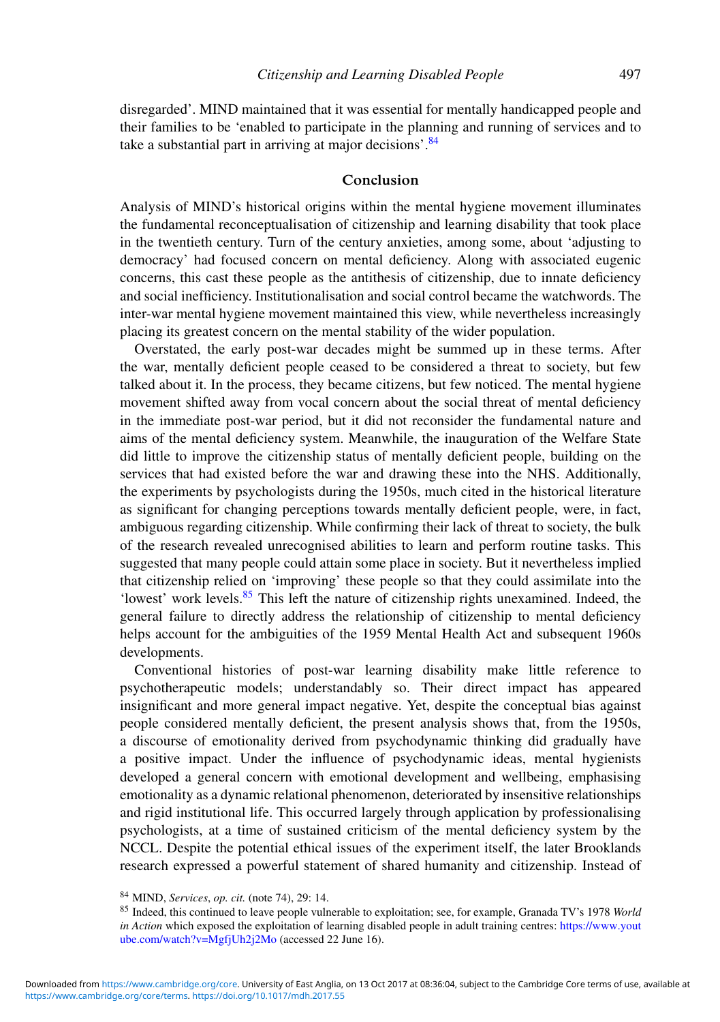disregarded'. MIND maintained that it was essential for mentally handicapped people and their families to be 'enabled to participate in the planning and running of services and to take a substantial part in arriving at major decisions'.<sup>[84](#page-16-0)</sup>

#### Conclusion

Analysis of MIND's historical origins within the mental hygiene movement illuminates the fundamental reconceptualisation of citizenship and learning disability that took place in the twentieth century. Turn of the century anxieties, among some, about 'adjusting to democracy' had focused concern on mental deficiency. Along with associated eugenic concerns, this cast these people as the antithesis of citizenship, due to innate deficiency and social inefficiency. Institutionalisation and social control became the watchwords. The inter-war mental hygiene movement maintained this view, while nevertheless increasingly placing its greatest concern on the mental stability of the wider population.

Overstated, the early post-war decades might be summed up in these terms. After the war, mentally deficient people ceased to be considered a threat to society, but few talked about it. In the process, they became citizens, but few noticed. The mental hygiene movement shifted away from vocal concern about the social threat of mental deficiency in the immediate post-war period, but it did not reconsider the fundamental nature and aims of the mental deficiency system. Meanwhile, the inauguration of the Welfare State did little to improve the citizenship status of mentally deficient people, building on the services that had existed before the war and drawing these into the NHS. Additionally, the experiments by psychologists during the 1950s, much cited in the historical literature as significant for changing perceptions towards mentally deficient people, were, in fact, ambiguous regarding citizenship. While confirming their lack of threat to society, the bulk of the research revealed unrecognised abilities to learn and perform routine tasks. This suggested that many people could attain some place in society. But it nevertheless implied that citizenship relied on 'improving' these people so that they could assimilate into the 'lowest' work levels. $85$  This left the nature of citizenship rights unexamined. Indeed, the general failure to directly address the relationship of citizenship to mental deficiency helps account for the ambiguities of the 1959 Mental Health Act and subsequent 1960s developments.

Conventional histories of post-war learning disability make little reference to psychotherapeutic models; understandably so. Their direct impact has appeared insignificant and more general impact negative. Yet, despite the conceptual bias against people considered mentally deficient, the present analysis shows that, from the 1950s, a discourse of emotionality derived from psychodynamic thinking did gradually have a positive impact. Under the influence of psychodynamic ideas, mental hygienists developed a general concern with emotional development and wellbeing, emphasising emotionality as a dynamic relational phenomenon, deteriorated by insensitive relationships and rigid institutional life. This occurred largely through application by professionalising psychologists, at a time of sustained criticism of the mental deficiency system by the NCCL. Despite the potential ethical issues of the experiment itself, the later Brooklands research expressed a powerful statement of shared humanity and citizenship. Instead of

<span id="page-16-1"></span><span id="page-16-0"></span><sup>84</sup> MIND, *Services*, *op. cit.* (note 74), 29: 14.

<sup>85</sup> Indeed, this continued to leave people vulnerable to exploitation; see, for example, Granada TV's 1978 *World in Action* which exposed the exploitation of learning disabled people in adult training centres: [https://www.yout](https://www.youtube.com/watch?v=MgfjUh2j2Mo) [ube.com/watch?v=MgfjUh2j2Mo](https://www.youtube.com/watch?v=MgfjUh2j2Mo) (accessed 22 June 16).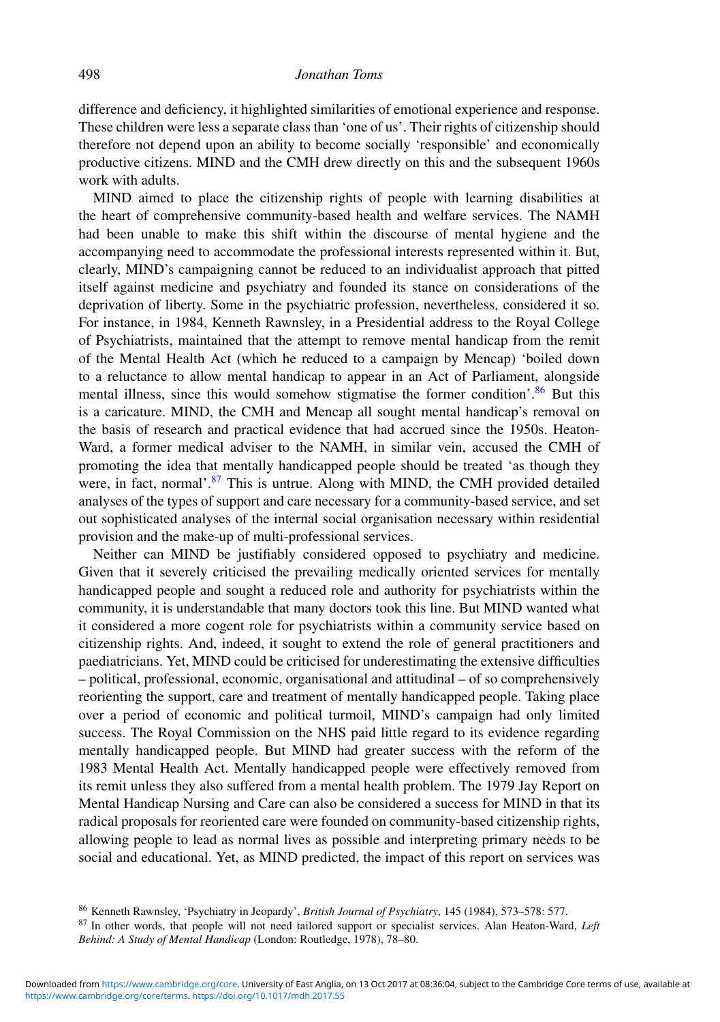difference and deficiency, it highlighted similarities of emotional experience and response. These children were less a separate class than 'one of us'. Their rights of citizenship should therefore not depend upon an ability to become socially 'responsible' and economically productive citizens. MIND and the CMH drew directly on this and the subsequent 1960s work with adults.

MIND aimed to place the citizenship rights of people with learning disabilities at the heart of comprehensive community-based health and welfare services. The NAMH had been unable to make this shift within the discourse of mental hygiene and the accompanying need to accommodate the professional interests represented within it. But, clearly, MIND's campaigning cannot be reduced to an individualist approach that pitted itself against medicine and psychiatry and founded its stance on considerations of the deprivation of liberty. Some in the psychiatric profession, nevertheless, considered it so. For instance, in 1984, Kenneth Rawnsley, in a Presidential address to the Royal College of Psychiatrists, maintained that the attempt to remove mental handicap from the remit of the Mental Health Act (which he reduced to a campaign by Mencap) 'boiled down to a reluctance to allow mental handicap to appear in an Act of Parliament, alongside mental illness, since this would somehow stigmatise the former condition'. $86$  But this is a caricature. MIND, the CMH and Mencap all sought mental handicap's removal on the basis of research and practical evidence that had accrued since the 1950s. Heaton-Ward, a former medical adviser to the NAMH, in similar vein, accused the CMH of promoting the idea that mentally handicapped people should be treated 'as though they were, in fact, normal'. $87$  This is untrue. Along with MIND, the CMH provided detailed analyses of the types of support and care necessary for a community-based service, and set out sophisticated analyses of the internal social organisation necessary within residential provision and the make-up of multi-professional services.

Neither can MIND be justifiably considered opposed to psychiatry and medicine. Given that it severely criticised the prevailing medically oriented services for mentally handicapped people and sought a reduced role and authority for psychiatrists within the community, it is understandable that many doctors took this line. But MIND wanted what it considered a more cogent role for psychiatrists within a community service based on citizenship rights. And, indeed, it sought to extend the role of general practitioners and paediatricians. Yet, MIND could be criticised for underestimating the extensive difficulties – political, professional, economic, organisational and attitudinal – of so comprehensively reorienting the support, care and treatment of mentally handicapped people. Taking place over a period of economic and political turmoil, MIND's campaign had only limited success. The Royal Commission on the NHS paid little regard to its evidence regarding mentally handicapped people. But MIND had greater success with the reform of the 1983 Mental Health Act. Mentally handicapped people were effectively removed from its remit unless they also suffered from a mental health problem. The 1979 Jay Report on Mental Handicap Nursing and Care can also be considered a success for MIND in that its radical proposals for reoriented care were founded on community-based citizenship rights, allowing people to lead as normal lives as possible and interpreting primary needs to be social and educational. Yet, as MIND predicted, the impact of this report on services was

<span id="page-17-1"></span><span id="page-17-0"></span><sup>86</sup> Kenneth Rawnsley, 'Psychiatry in Jeopardy', *British Journal of Psychiatry*, 145 (1984), 573–578: 577.

<sup>87</sup> In other words, that people will not need tailored support or specialist services. Alan Heaton-Ward, *Left Behind: A Study of Mental Handicap* (London: Routledge, 1978), 78–80.